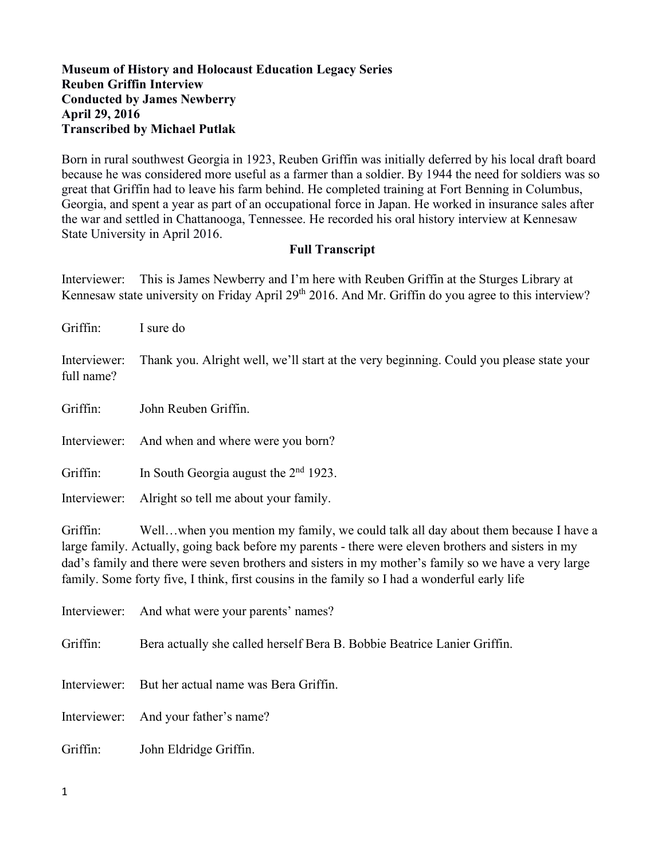## **Museum of History and Holocaust Education Legacy Series Reuben Griffin Interview Conducted by James Newberry April 29, 2016 Transcribed by Michael Putlak**

Born in rural southwest Georgia in 1923, Reuben Griffin was initially deferred by his local draft board because he was considered more useful as a farmer than a soldier. By 1944 the need for soldiers was so great that Griffin had to leave his farm behind. He completed training at Fort Benning in Columbus, Georgia, and spent a year as part of an occupational force in Japan. He worked in insurance sales after the war and settled in Chattanooga, Tennessee. He recorded his oral history interview at Kennesaw State University in April 2016.

#### **Full Transcript**

Interviewer: This is James Newberry and I'm here with Reuben Griffin at the Sturges Library at Kennesaw state university on Friday April 29<sup>th</sup> 2016. And Mr. Griffin do you agree to this interview?

| Griffin:                   | I sure do                                                                                                                                                                                |
|----------------------------|------------------------------------------------------------------------------------------------------------------------------------------------------------------------------------------|
| Interviewer:<br>full name? | Thank you. Alright well, we'll start at the very beginning. Could you please state your                                                                                                  |
| Griffin:                   | John Reuben Griffin.                                                                                                                                                                     |
| Interviewer:               | And when and where were you born?                                                                                                                                                        |
| Griffin:                   | In South Georgia august the $2nd$ 1923.                                                                                                                                                  |
| Interviewer:               | Alright so tell me about your family.                                                                                                                                                    |
| Griffin:                   | Wellwhen you mention my family, we could talk all day about them because I have a<br>large family. Actually, going back before my parents - there were eleven brothers and sisters in my |

large family. Actually, going back before my parents - there were eleven brothers and sisters in my dad's family and there were seven brothers and sisters in my mother's family so we have a very large family. Some forty five, I think, first cousins in the family so I had a wonderful early life

|          | Interviewer: And what were your parents' names?                          |
|----------|--------------------------------------------------------------------------|
| Griffin: | Bera actually she called herself Bera B. Bobbie Beatrice Lanier Griffin. |
|          | Interviewer: But her actual name was Bera Griffin.                       |
|          | Interviewer: And your father's name?                                     |
| Griffin: | John Eldridge Griffin.                                                   |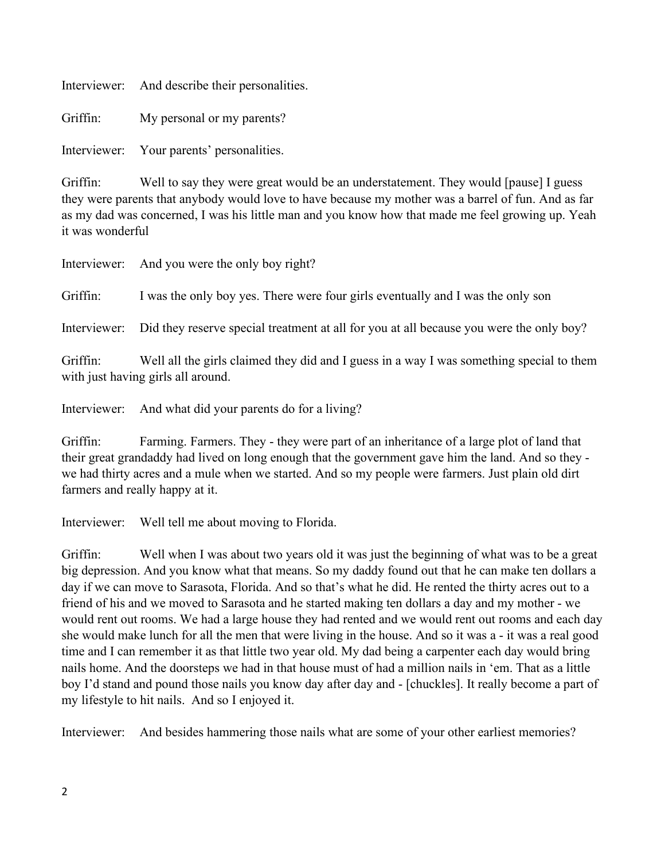| And describe their personalities. | Interviewer: |  |  |
|-----------------------------------|--------------|--|--|
|-----------------------------------|--------------|--|--|

Griffin: My personal or my parents?

Interviewer: Your parents' personalities.

Griffin: Well to say they were great would be an understatement. They would [pause] I guess they were parents that anybody would love to have because my mother was a barrel of fun. And as far as my dad was concerned, I was his little man and you know how that made me feel growing up. Yeah it was wonderful

|          | Interviewer: And you were the only boy right?                                                                                  |
|----------|--------------------------------------------------------------------------------------------------------------------------------|
| Griffin: | I was the only boy yes. There were four girls eventually and I was the only son                                                |
|          | Interviewer: Did they reserve special treatment at all for you at all because you were the only boy?                           |
| Griffin: | Well all the girls claimed they did and I guess in a way I was something special to them<br>with just having girls all around. |
|          |                                                                                                                                |

Interviewer: And what did your parents do for a living?

Griffin: Farming. Farmers. They - they were part of an inheritance of a large plot of land that their great grandaddy had lived on long enough that the government gave him the land. And so they we had thirty acres and a mule when we started. And so my people were farmers. Just plain old dirt farmers and really happy at it.

Interviewer: Well tell me about moving to Florida.

Griffin: Well when I was about two years old it was just the beginning of what was to be a great big depression. And you know what that means. So my daddy found out that he can make ten dollars a day if we can move to Sarasota, Florida. And so that's what he did. He rented the thirty acres out to a friend of his and we moved to Sarasota and he started making ten dollars a day and my mother - we would rent out rooms. We had a large house they had rented and we would rent out rooms and each day she would make lunch for all the men that were living in the house. And so it was a - it was a real good time and I can remember it as that little two year old. My dad being a carpenter each day would bring nails home. And the doorsteps we had in that house must of had a million nails in 'em. That as a little boy I'd stand and pound those nails you know day after day and - [chuckles]. It really become a part of my lifestyle to hit nails. And so I enjoyed it.

Interviewer: And besides hammering those nails what are some of your other earliest memories?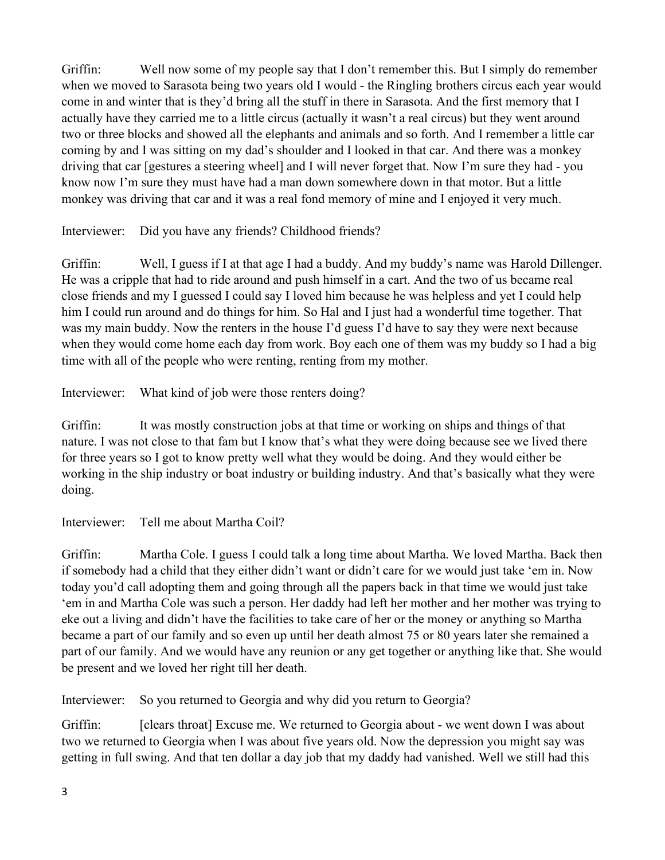Griffin: Well now some of my people say that I don't remember this. But I simply do remember when we moved to Sarasota being two years old I would - the Ringling brothers circus each year would come in and winter that is they'd bring all the stuff in there in Sarasota. And the first memory that I actually have they carried me to a little circus (actually it wasn't a real circus) but they went around two or three blocks and showed all the elephants and animals and so forth. And I remember a little car coming by and I was sitting on my dad's shoulder and I looked in that car. And there was a monkey driving that car [gestures a steering wheel] and I will never forget that. Now I'm sure they had - you know now I'm sure they must have had a man down somewhere down in that motor. But a little monkey was driving that car and it was a real fond memory of mine and I enjoyed it very much.

Interviewer: Did you have any friends? Childhood friends?

Griffin: Well, I guess if I at that age I had a buddy. And my buddy's name was Harold Dillenger. He was a cripple that had to ride around and push himself in a cart. And the two of us became real close friends and my I guessed I could say I loved him because he was helpless and yet I could help him I could run around and do things for him. So Hal and I just had a wonderful time together. That was my main buddy. Now the renters in the house I'd guess I'd have to say they were next because when they would come home each day from work. Boy each one of them was my buddy so I had a big time with all of the people who were renting, renting from my mother.

Interviewer: What kind of job were those renters doing?

Griffin: It was mostly construction jobs at that time or working on ships and things of that nature. I was not close to that fam but I know that's what they were doing because see we lived there for three years so I got to know pretty well what they would be doing. And they would either be working in the ship industry or boat industry or building industry. And that's basically what they were doing.

Interviewer: Tell me about Martha Coil?

Griffin: Martha Cole. I guess I could talk a long time about Martha. We loved Martha. Back then if somebody had a child that they either didn't want or didn't care for we would just take 'em in. Now today you'd call adopting them and going through all the papers back in that time we would just take 'em in and Martha Cole was such a person. Her daddy had left her mother and her mother was trying to eke out a living and didn't have the facilities to take care of her or the money or anything so Martha became a part of our family and so even up until her death almost 75 or 80 years later she remained a part of our family. And we would have any reunion or any get together or anything like that. She would be present and we loved her right till her death.

Interviewer: So you returned to Georgia and why did you return to Georgia?

Griffin: [clears throat] Excuse me. We returned to Georgia about - we went down I was about two we returned to Georgia when I was about five years old. Now the depression you might say was getting in full swing. And that ten dollar a day job that my daddy had vanished. Well we still had this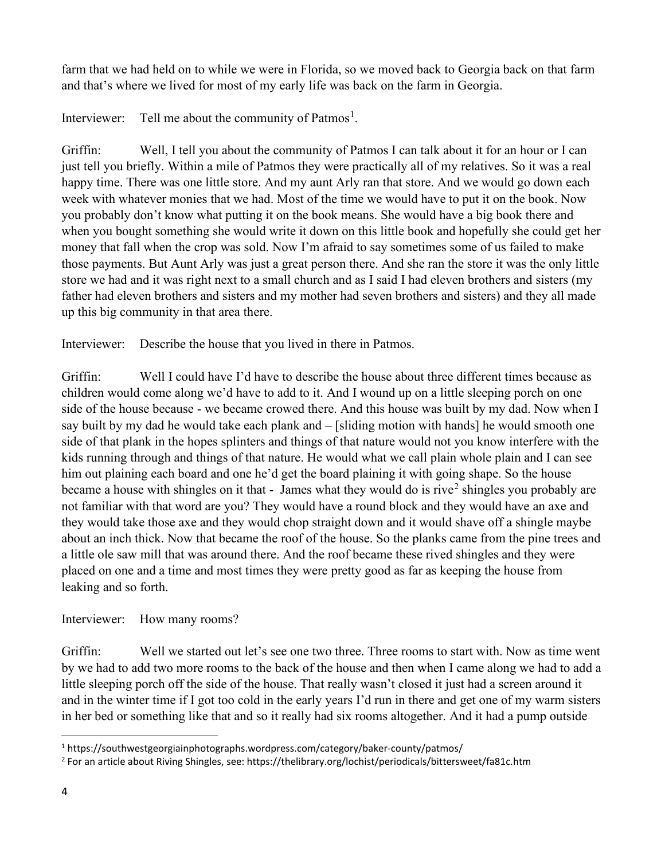farm that we had held on to while we were in Florida, so we moved back to Georgia back on that farm and that's where we lived for most of my early life was back on the farm in Georgia.

Interviewer: Tell me about the community of Patmos<sup>[1](#page-3-0)</sup>.

Griffin: Well, I tell you about the community of Patmos I can talk about it for an hour or I can just tell you briefly. Within a mile of Patmos they were practically all of my relatives. So it was a real happy time. There was one little store. And my aunt Arly ran that store. And we would go down each week with whatever monies that we had. Most of the time we would have to put it on the book. Now you probably don't know what putting it on the book means. She would have a big book there and when you bought something she would write it down on this little book and hopefully she could get her money that fall when the crop was sold. Now I'm afraid to say sometimes some of us failed to make those payments. But Aunt Arly was just a great person there. And she ran the store it was the only little store we had and it was right next to a small church and as I said I had eleven brothers and sisters (my father had eleven brothers and sisters and my mother had seven brothers and sisters) and they all made up this big community in that area there.

Interviewer: Describe the house that you lived in there in Patmos.

Griffin: Well I could have I'd have to describe the house about three different times because as children would come along we'd have to add to it. And I wound up on a little sleeping porch on one side of the house because - we became crowed there. And this house was built by my dad. Now when I say built by my dad he would take each plank and – [sliding motion with hands] he would smooth one side of that plank in the hopes splinters and things of that nature would not you know interfere with the kids running through and things of that nature. He would what we call plain whole plain and I can see him out plaining each board and one he'd get the board plaining it with going shape. So the house became a house with shingles on it that - James what they would do is rive<sup>[2](#page-3-1)</sup> shingles you probably are not familiar with that word are you? They would have a round block and they would have an axe and they would take those axe and they would chop straight down and it would shave off a shingle maybe about an inch thick. Now that became the roof of the house. So the planks came from the pine trees and a little ole saw mill that was around there. And the roof became these rived shingles and they were placed on one and a time and most times they were pretty good as far as keeping the house from leaking and so forth.

# Interviewer: How many rooms?

Griffin: Well we started out let's see one two three. Three rooms to start with. Now as time went by we had to add two more rooms to the back of the house and then when I came along we had to add a little sleeping porch off the side of the house. That really wasn't closed it just had a screen around it and in the winter time if I got too cold in the early years I'd run in there and get one of my warm sisters in her bed or something like that and so it really had six rooms altogether. And it had a pump outside

<span id="page-3-0"></span><sup>1</sup> https://southwestgeorgiainphotographs.wordpress.com/category/baker-county/patmos/

<span id="page-3-1"></span><sup>2</sup> For an article about Riving Shingles, see: https://thelibrary.org/lochist/periodicals/bittersweet/fa81c.htm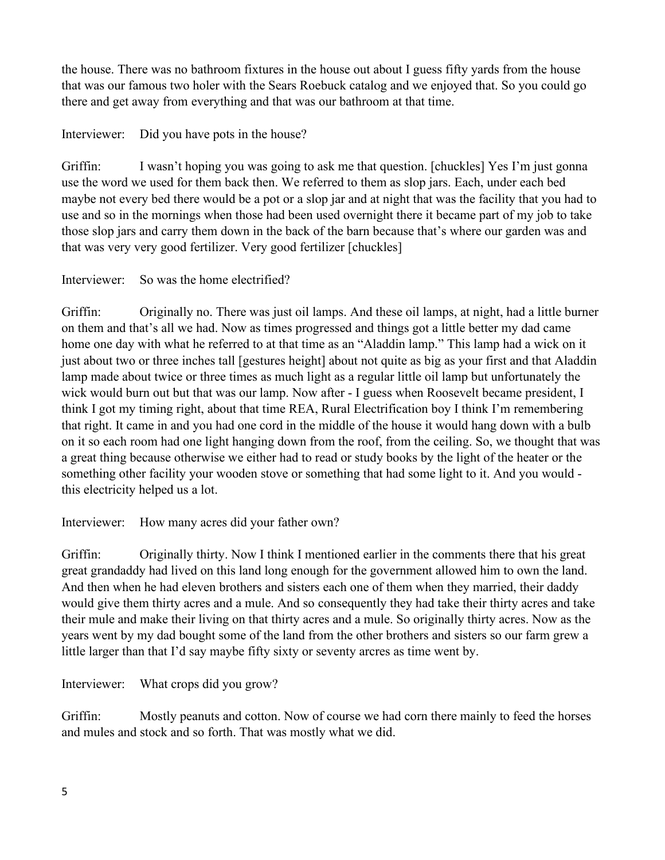the house. There was no bathroom fixtures in the house out about I guess fifty yards from the house that was our famous two holer with the Sears Roebuck catalog and we enjoyed that. So you could go there and get away from everything and that was our bathroom at that time.

Interviewer: Did you have pots in the house?

Griffin: I wasn't hoping you was going to ask me that question. [chuckles] Yes I'm just gonna use the word we used for them back then. We referred to them as slop jars. Each, under each bed maybe not every bed there would be a pot or a slop jar and at night that was the facility that you had to use and so in the mornings when those had been used overnight there it became part of my job to take those slop jars and carry them down in the back of the barn because that's where our garden was and that was very very good fertilizer. Very good fertilizer [chuckles]

# Interviewer: So was the home electrified?

Griffin: Originally no. There was just oil lamps. And these oil lamps, at night, had a little burner on them and that's all we had. Now as times progressed and things got a little better my dad came home one day with what he referred to at that time as an "Aladdin lamp." This lamp had a wick on it just about two or three inches tall [gestures height] about not quite as big as your first and that Aladdin lamp made about twice or three times as much light as a regular little oil lamp but unfortunately the wick would burn out but that was our lamp. Now after - I guess when Roosevelt became president, I think I got my timing right, about that time REA, Rural Electrification boy I think I'm remembering that right. It came in and you had one cord in the middle of the house it would hang down with a bulb on it so each room had one light hanging down from the roof, from the ceiling. So, we thought that was a great thing because otherwise we either had to read or study books by the light of the heater or the something other facility your wooden stove or something that had some light to it. And you would this electricity helped us a lot.

Interviewer: How many acres did your father own?

Griffin: Originally thirty. Now I think I mentioned earlier in the comments there that his great great grandaddy had lived on this land long enough for the government allowed him to own the land. And then when he had eleven brothers and sisters each one of them when they married, their daddy would give them thirty acres and a mule. And so consequently they had take their thirty acres and take their mule and make their living on that thirty acres and a mule. So originally thirty acres. Now as the years went by my dad bought some of the land from the other brothers and sisters so our farm grew a little larger than that I'd say maybe fifty sixty or seventy arcres as time went by.

Interviewer: What crops did you grow?

Griffin: Mostly peanuts and cotton. Now of course we had corn there mainly to feed the horses and mules and stock and so forth. That was mostly what we did.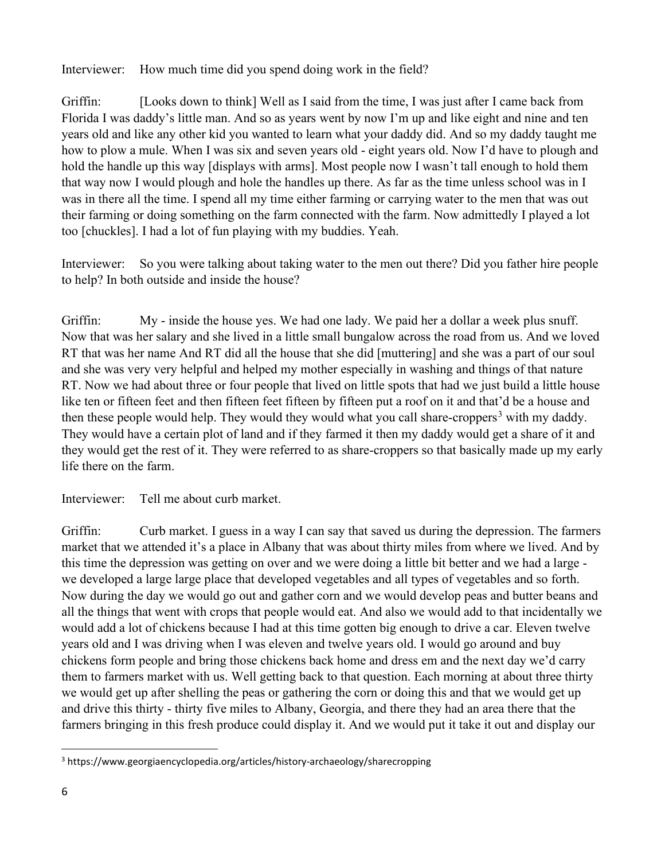Interviewer: How much time did you spend doing work in the field?

Griffin: [Looks down to think] Well as I said from the time, I was just after I came back from Florida I was daddy's little man. And so as years went by now I'm up and like eight and nine and ten years old and like any other kid you wanted to learn what your daddy did. And so my daddy taught me how to plow a mule. When I was six and seven years old - eight years old. Now I'd have to plough and hold the handle up this way [displays with arms]. Most people now I wasn't tall enough to hold them that way now I would plough and hole the handles up there. As far as the time unless school was in I was in there all the time. I spend all my time either farming or carrying water to the men that was out their farming or doing something on the farm connected with the farm. Now admittedly I played a lot too [chuckles]. I had a lot of fun playing with my buddies. Yeah.

Interviewer: So you were talking about taking water to the men out there? Did you father hire people to help? In both outside and inside the house?

Griffin: My - inside the house yes. We had one lady. We paid her a dollar a week plus snuff. Now that was her salary and she lived in a little small bungalow across the road from us. And we loved RT that was her name And RT did all the house that she did [muttering] and she was a part of our soul and she was very very helpful and helped my mother especially in washing and things of that nature RT. Now we had about three or four people that lived on little spots that had we just build a little house like ten or fifteen feet and then fifteen feet fifteen by fifteen put a roof on it and that'd be a house and then these people would help. They would they would what you call share-croppers<sup>[3](#page-5-0)</sup> with my daddy. They would have a certain plot of land and if they farmed it then my daddy would get a share of it and they would get the rest of it. They were referred to as share-croppers so that basically made up my early life there on the farm.

Interviewer: Tell me about curb market.

Griffin: Curb market. I guess in a way I can say that saved us during the depression. The farmers market that we attended it's a place in Albany that was about thirty miles from where we lived. And by this time the depression was getting on over and we were doing a little bit better and we had a large we developed a large large place that developed vegetables and all types of vegetables and so forth. Now during the day we would go out and gather corn and we would develop peas and butter beans and all the things that went with crops that people would eat. And also we would add to that incidentally we would add a lot of chickens because I had at this time gotten big enough to drive a car. Eleven twelve years old and I was driving when I was eleven and twelve years old. I would go around and buy chickens form people and bring those chickens back home and dress em and the next day we'd carry them to farmers market with us. Well getting back to that question. Each morning at about three thirty we would get up after shelling the peas or gathering the corn or doing this and that we would get up and drive this thirty - thirty five miles to Albany, Georgia, and there they had an area there that the farmers bringing in this fresh produce could display it. And we would put it take it out and display our

<span id="page-5-0"></span><sup>3</sup> https://www.georgiaencyclopedia.org/articles/history-archaeology/sharecropping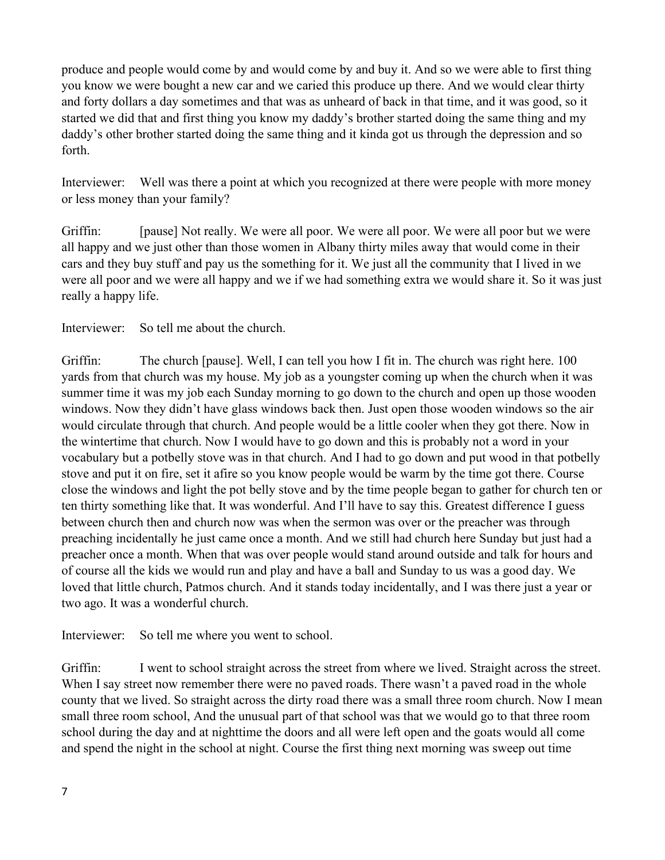produce and people would come by and would come by and buy it. And so we were able to first thing you know we were bought a new car and we caried this produce up there. And we would clear thirty and forty dollars a day sometimes and that was as unheard of back in that time, and it was good, so it started we did that and first thing you know my daddy's brother started doing the same thing and my daddy's other brother started doing the same thing and it kinda got us through the depression and so forth.

Interviewer: Well was there a point at which you recognized at there were people with more money or less money than your family?

Griffin: [pause] Not really. We were all poor. We were all poor. We were all poor but we were all happy and we just other than those women in Albany thirty miles away that would come in their cars and they buy stuff and pay us the something for it. We just all the community that I lived in we were all poor and we were all happy and we if we had something extra we would share it. So it was just really a happy life.

Interviewer: So tell me about the church.

Griffin: The church [pause]. Well, I can tell you how I fit in. The church was right here. 100 yards from that church was my house. My job as a youngster coming up when the church when it was summer time it was my job each Sunday morning to go down to the church and open up those wooden windows. Now they didn't have glass windows back then. Just open those wooden windows so the air would circulate through that church. And people would be a little cooler when they got there. Now in the wintertime that church. Now I would have to go down and this is probably not a word in your vocabulary but a potbelly stove was in that church. And I had to go down and put wood in that potbelly stove and put it on fire, set it afire so you know people would be warm by the time got there. Course close the windows and light the pot belly stove and by the time people began to gather for church ten or ten thirty something like that. It was wonderful. And I'll have to say this. Greatest difference I guess between church then and church now was when the sermon was over or the preacher was through preaching incidentally he just came once a month. And we still had church here Sunday but just had a preacher once a month. When that was over people would stand around outside and talk for hours and of course all the kids we would run and play and have a ball and Sunday to us was a good day. We loved that little church, Patmos church. And it stands today incidentally, and I was there just a year or two ago. It was a wonderful church.

Interviewer: So tell me where you went to school.

Griffin: I went to school straight across the street from where we lived. Straight across the street. When I say street now remember there were no paved roads. There wasn't a paved road in the whole county that we lived. So straight across the dirty road there was a small three room church. Now I mean small three room school, And the unusual part of that school was that we would go to that three room school during the day and at nighttime the doors and all were left open and the goats would all come and spend the night in the school at night. Course the first thing next morning was sweep out time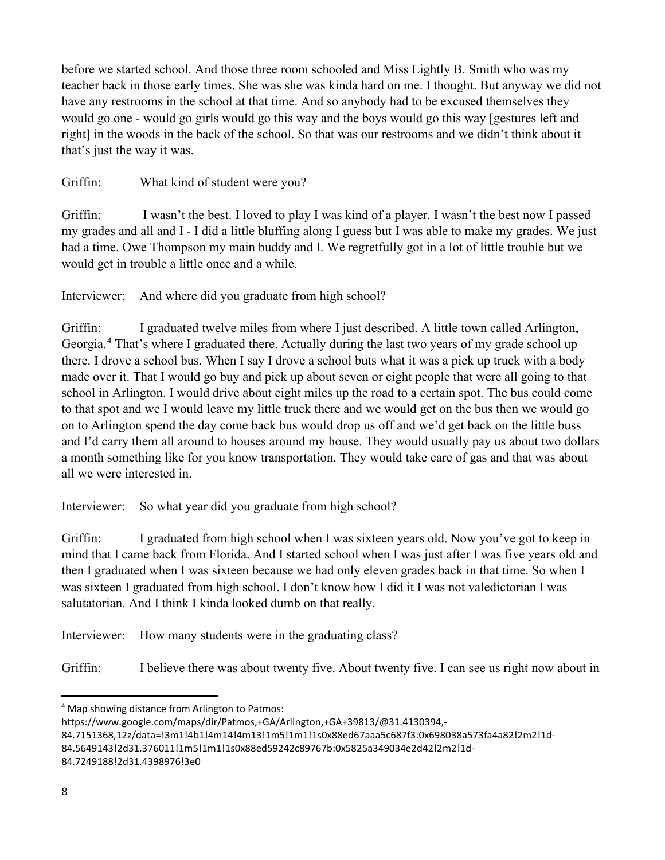before we started school. And those three room schooled and Miss Lightly B. Smith who was my teacher back in those early times. She was she was kinda hard on me. I thought. But anyway we did not have any restrooms in the school at that time. And so anybody had to be excused themselves they would go one - would go girls would go this way and the boys would go this way [gestures left and right] in the woods in the back of the school. So that was our restrooms and we didn't think about it that's just the way it was.

Griffin: What kind of student were you?

Griffin: I wasn't the best. I loved to play I was kind of a player. I wasn't the best now I passed my grades and all and I - I did a little bluffing along I guess but I was able to make my grades. We just had a time. Owe Thompson my main buddy and I. We regretfully got in a lot of little trouble but we would get in trouble a little once and a while.

Interviewer: And where did you graduate from high school?

Griffin: I graduated twelve miles from where I just described. A little town called Arlington, Georgia.<sup>[4](#page-7-0)</sup> That's where I graduated there. Actually during the last two years of my grade school up there. I drove a school bus. When I say I drove a school buts what it was a pick up truck with a body made over it. That I would go buy and pick up about seven or eight people that were all going to that school in Arlington. I would drive about eight miles up the road to a certain spot. The bus could come to that spot and we I would leave my little truck there and we would get on the bus then we would go on to Arlington spend the day come back bus would drop us off and we'd get back on the little buss and I'd carry them all around to houses around my house. They would usually pay us about two dollars a month something like for you know transportation. They would take care of gas and that was about all we were interested in.

Interviewer: So what year did you graduate from high school?

Griffin: I graduated from high school when I was sixteen years old. Now you've got to keep in mind that I came back from Florida. And I started school when I was just after I was five years old and then I graduated when I was sixteen because we had only eleven grades back in that time. So when I was sixteen I graduated from high school. I don't know how I did it I was not valedictorian I was salutatorian. And I think I kinda looked dumb on that really.

Interviewer: How many students were in the graduating class?

Griffin: I believe there was about twenty five. About twenty five. I can see us right now about in

<span id="page-7-0"></span><sup>4</sup> Map showing distance from Arlington to Patmos:

https://www.google.com/maps/dir/Patmos,+GA/Arlington,+GA+39813/@31.4130394,-

<sup>84.7151368,12</sup>z/data=!3m1!4b1!4m14!4m13!1m5!1m1!1s0x88ed67aaa5c687f3:0x698038a573fa4a82!2m2!1d-

<sup>84.5649143!2</sup>d31.376011!1m5!1m1!1s0x88ed59242c89767b:0x5825a349034e2d42!2m2!1d-

<sup>84.7249188!2</sup>d31.4398976!3e0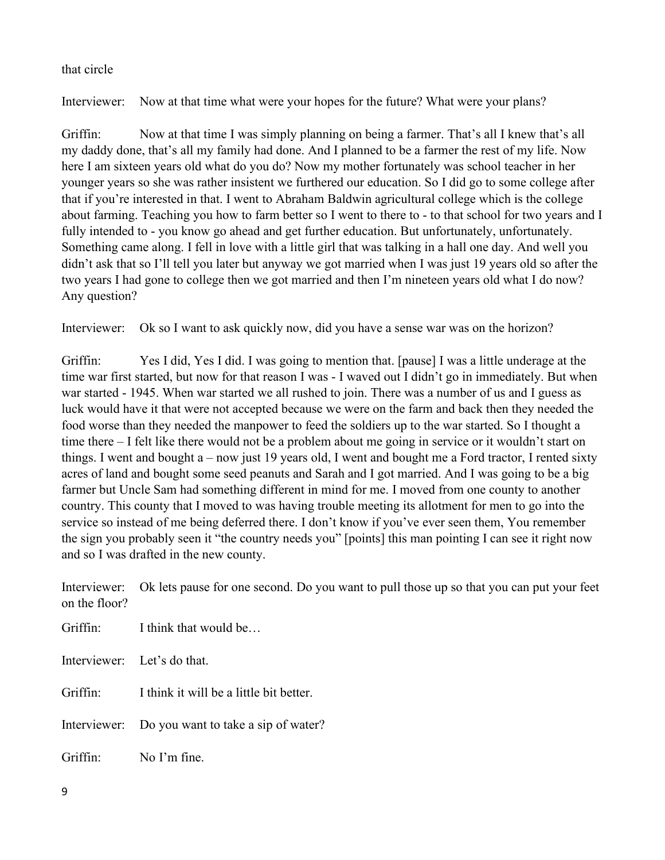## that circle

Interviewer: Now at that time what were your hopes for the future? What were your plans?

Griffin: Now at that time I was simply planning on being a farmer. That's all I knew that's all my daddy done, that's all my family had done. And I planned to be a farmer the rest of my life. Now here I am sixteen years old what do you do? Now my mother fortunately was school teacher in her younger years so she was rather insistent we furthered our education. So I did go to some college after that if you're interested in that. I went to Abraham Baldwin agricultural college which is the college about farming. Teaching you how to farm better so I went to there to - to that school for two years and I fully intended to - you know go ahead and get further education. But unfortunately, unfortunately. Something came along. I fell in love with a little girl that was talking in a hall one day. And well you didn't ask that so I'll tell you later but anyway we got married when I was just 19 years old so after the two years I had gone to college then we got married and then I'm nineteen years old what I do now? Any question?

Interviewer: Ok so I want to ask quickly now, did you have a sense war was on the horizon?

Griffin: Yes I did, Yes I did. I was going to mention that. [pause] I was a little underage at the time war first started, but now for that reason I was - I waved out I didn't go in immediately. But when war started - 1945. When war started we all rushed to join. There was a number of us and I guess as luck would have it that were not accepted because we were on the farm and back then they needed the food worse than they needed the manpower to feed the soldiers up to the war started. So I thought a time there – I felt like there would not be a problem about me going in service or it wouldn't start on things. I went and bought a – now just 19 years old, I went and bought me a Ford tractor, I rented sixty acres of land and bought some seed peanuts and Sarah and I got married. And I was going to be a big farmer but Uncle Sam had something different in mind for me. I moved from one county to another country. This county that I moved to was having trouble meeting its allotment for men to go into the service so instead of me being deferred there. I don't know if you've ever seen them, You remember the sign you probably seen it "the country needs you" [points] this man pointing I can see it right now and so I was drafted in the new county.

Interviewer: Ok lets pause for one second. Do you want to pull those up so that you can put your feet on the floor?

Griffin: I think that would be... Interviewer: Let's do that. Griffin: I think it will be a little bit better. Interviewer: Do you want to take a sip of water? Griffin: No I'm fine.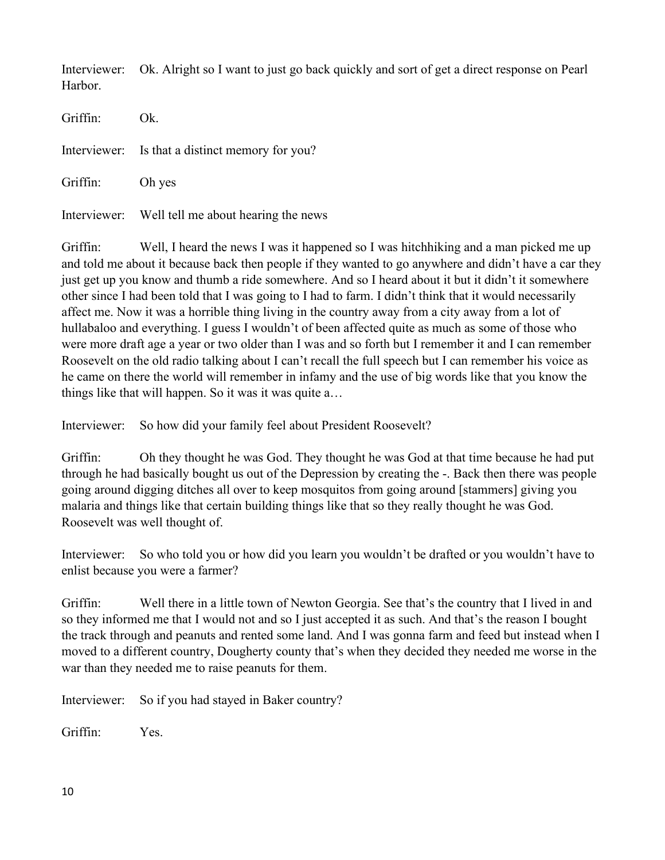Interviewer: Ok. Alright so I want to just go back quickly and sort of get a direct response on Pearl Harbor.

| Griffin:        | Ok.                                              |
|-----------------|--------------------------------------------------|
|                 | Interviewer: Is that a distinct memory for you?  |
| Griffin: Oh yes |                                                  |
|                 | Interviewer: Well tell me about hearing the news |

Griffin: Well, I heard the news I was it happened so I was hitchhiking and a man picked me up and told me about it because back then people if they wanted to go anywhere and didn't have a car they just get up you know and thumb a ride somewhere. And so I heard about it but it didn't it somewhere other since I had been told that I was going to I had to farm. I didn't think that it would necessarily affect me. Now it was a horrible thing living in the country away from a city away from a lot of hullabaloo and everything. I guess I wouldn't of been affected quite as much as some of those who were more draft age a year or two older than I was and so forth but I remember it and I can remember Roosevelt on the old radio talking about I can't recall the full speech but I can remember his voice as he came on there the world will remember in infamy and the use of big words like that you know the things like that will happen. So it was it was quite a…

Interviewer: So how did your family feel about President Roosevelt?

Griffin: Oh they thought he was God. They thought he was God at that time because he had put through he had basically bought us out of the Depression by creating the -. Back then there was people going around digging ditches all over to keep mosquitos from going around [stammers] giving you malaria and things like that certain building things like that so they really thought he was God. Roosevelt was well thought of.

Interviewer: So who told you or how did you learn you wouldn't be drafted or you wouldn't have to enlist because you were a farmer?

Griffin: Well there in a little town of Newton Georgia. See that's the country that I lived in and so they informed me that I would not and so I just accepted it as such. And that's the reason I bought the track through and peanuts and rented some land. And I was gonna farm and feed but instead when I moved to a different country, Dougherty county that's when they decided they needed me worse in the war than they needed me to raise peanuts for them.

Interviewer: So if you had stayed in Baker country?

Griffin: Yes.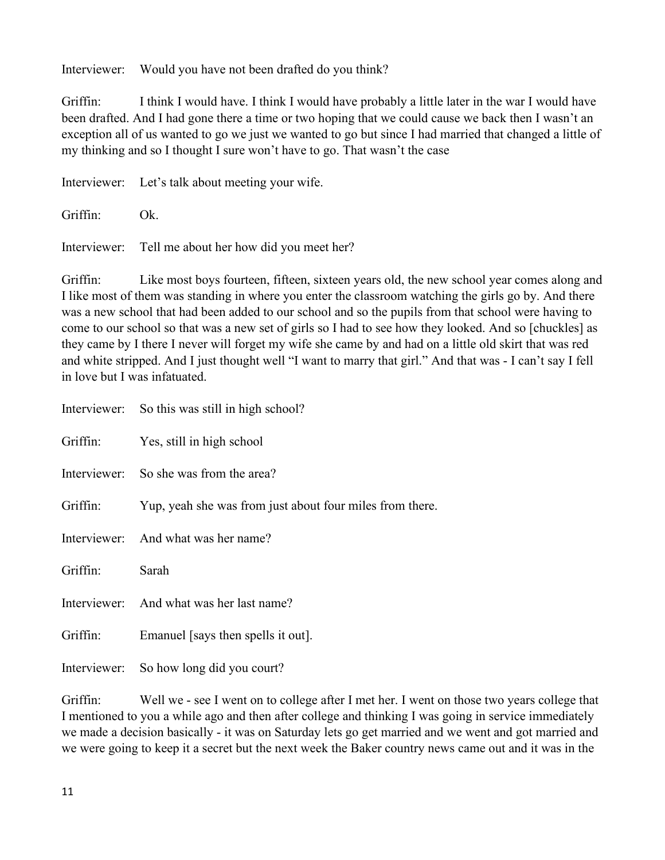Interviewer: Would you have not been drafted do you think?

Griffin: I think I would have. I think I would have probably a little later in the war I would have been drafted. And I had gone there a time or two hoping that we could cause we back then I wasn't an exception all of us wanted to go we just we wanted to go but since I had married that changed a little of my thinking and so I thought I sure won't have to go. That wasn't the case

Interviewer: Let's talk about meeting your wife. Griffin: Ok. Interviewer: Tell me about her how did you meet her?

Griffin: Like most boys fourteen, fifteen, sixteen years old, the new school year comes along and I like most of them was standing in where you enter the classroom watching the girls go by. And there was a new school that had been added to our school and so the pupils from that school were having to come to our school so that was a new set of girls so I had to see how they looked. And so [chuckles] as they came by I there I never will forget my wife she came by and had on a little old skirt that was red and white stripped. And I just thought well "I want to marry that girl." And that was - I can't say I fell in love but I was infatuated.

|          | Interviewer: So this was still in high school?           |
|----------|----------------------------------------------------------|
|          | Griffin: Yes, still in high school                       |
|          | Interviewer: So she was from the area?                   |
| Griffin: | Yup, yeah she was from just about four miles from there. |
|          | Interviewer: And what was her name?                      |
| Griffin: | Sarah                                                    |
|          | Interviewer: And what was her last name?                 |
| Griffin: | Emanuel [says then spells it out].                       |
|          | Interviewer: So how long did you court?                  |

Griffin: Well we - see I went on to college after I met her. I went on those two years college that I mentioned to you a while ago and then after college and thinking I was going in service immediately we made a decision basically - it was on Saturday lets go get married and we went and got married and we were going to keep it a secret but the next week the Baker country news came out and it was in the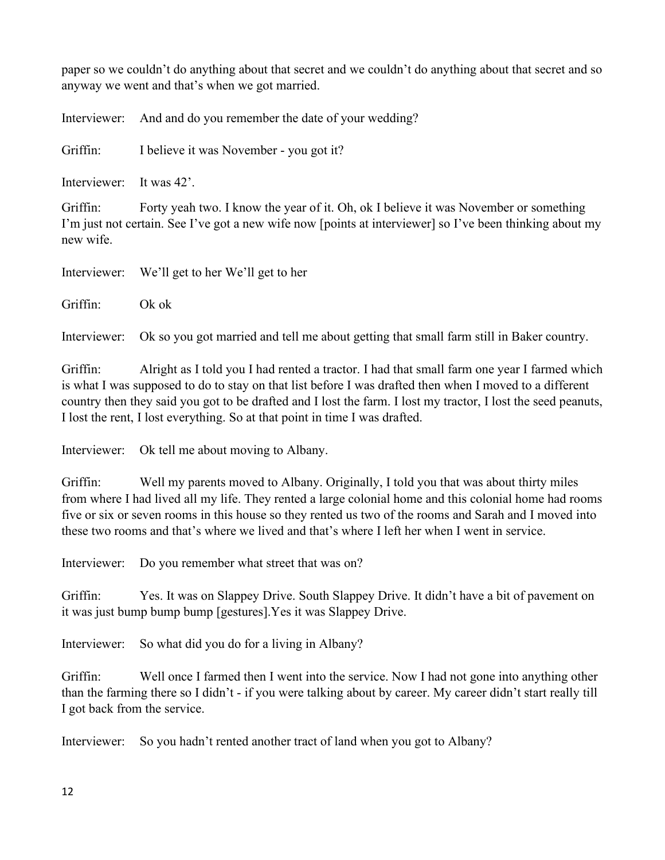paper so we couldn't do anything about that secret and we couldn't do anything about that secret and so anyway we went and that's when we got married.

Interviewer: And and do you remember the date of your wedding?

Griffin: I believe it was November - you got it?

Interviewer: It was 42'.

Griffin: Forty yeah two. I know the year of it. Oh, ok I believe it was November or something I'm just not certain. See I've got a new wife now [points at interviewer] so I've been thinking about my new wife.

Interviewer: We'll get to her We'll get to her

Griffin: Ok ok

Interviewer: Ok so you got married and tell me about getting that small farm still in Baker country.

Griffin: Alright as I told you I had rented a tractor. I had that small farm one year I farmed which is what I was supposed to do to stay on that list before I was drafted then when I moved to a different country then they said you got to be drafted and I lost the farm. I lost my tractor, I lost the seed peanuts, I lost the rent, I lost everything. So at that point in time I was drafted.

Interviewer: Ok tell me about moving to Albany.

Griffin: Well my parents moved to Albany. Originally, I told you that was about thirty miles from where I had lived all my life. They rented a large colonial home and this colonial home had rooms five or six or seven rooms in this house so they rented us two of the rooms and Sarah and I moved into these two rooms and that's where we lived and that's where I left her when I went in service.

Interviewer: Do you remember what street that was on?

Griffin: Yes. It was on Slappey Drive. South Slappey Drive. It didn't have a bit of pavement on it was just bump bump bump [gestures].Yes it was Slappey Drive.

Interviewer: So what did you do for a living in Albany?

Griffin: Well once I farmed then I went into the service. Now I had not gone into anything other than the farming there so I didn't - if you were talking about by career. My career didn't start really till I got back from the service.

Interviewer: So you hadn't rented another tract of land when you got to Albany?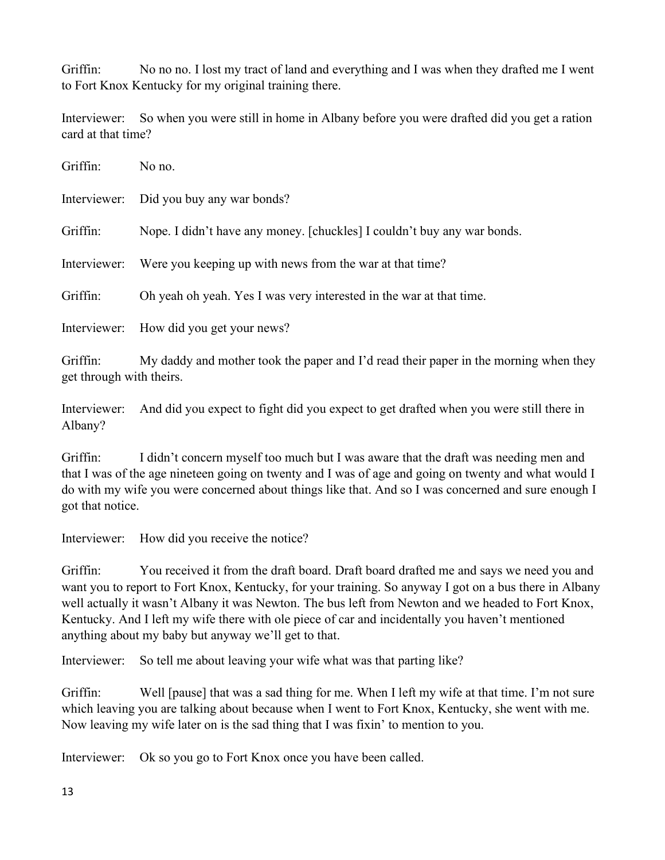Griffin: No no no. I lost my tract of land and everything and I was when they drafted me I went to Fort Knox Kentucky for my original training there.

Interviewer: So when you were still in home in Albany before you were drafted did you get a ration card at that time?

| Griffin:                             | No no.                                                                               |
|--------------------------------------|--------------------------------------------------------------------------------------|
|                                      | Interviewer: Did you buy any war bonds?                                              |
| Griffin:                             | Nope. I didn't have any money. [chuckles] I couldn't buy any war bonds.              |
| Interviewer:                         | Were you keeping up with news from the war at that time?                             |
| Griffin:                             | Oh yeah oh yeah. Yes I was very interested in the war at that time.                  |
|                                      | Interviewer: How did you get your news?                                              |
| Griffin:<br>get through with theirs. | My daddy and mother took the paper and I'd read their paper in the morning when they |

Interviewer: And did you expect to fight did you expect to get drafted when you were still there in Albany?

Griffin: I didn't concern myself too much but I was aware that the draft was needing men and that I was of the age nineteen going on twenty and I was of age and going on twenty and what would I do with my wife you were concerned about things like that. And so I was concerned and sure enough I got that notice.

Interviewer: How did you receive the notice?

Griffin: You received it from the draft board. Draft board drafted me and says we need you and want you to report to Fort Knox, Kentucky, for your training. So anyway I got on a bus there in Albany well actually it wasn't Albany it was Newton. The bus left from Newton and we headed to Fort Knox, Kentucky. And I left my wife there with ole piece of car and incidentally you haven't mentioned anything about my baby but anyway we'll get to that.

Interviewer: So tell me about leaving your wife what was that parting like?

Griffin: Well [pause] that was a sad thing for me. When I left my wife at that time. I'm not sure which leaving you are talking about because when I went to Fort Knox, Kentucky, she went with me. Now leaving my wife later on is the sad thing that I was fixin' to mention to you.

Interviewer: Ok so you go to Fort Knox once you have been called.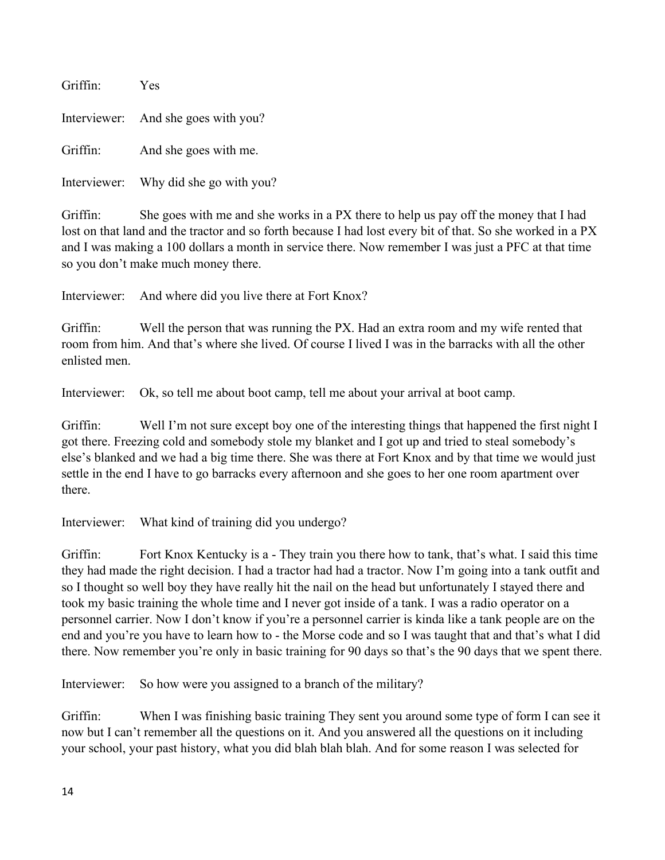| Griffin: | <b>Yes</b>                            |
|----------|---------------------------------------|
|          | Interviewer: And she goes with you?   |
| Griffin: | And she goes with me.                 |
|          | Interviewer: Why did she go with you? |

Griffin: She goes with me and she works in a PX there to help us pay off the money that I had lost on that land and the tractor and so forth because I had lost every bit of that. So she worked in a PX and I was making a 100 dollars a month in service there. Now remember I was just a PFC at that time so you don't make much money there.

Interviewer: And where did you live there at Fort Knox?

Griffin: Well the person that was running the PX. Had an extra room and my wife rented that room from him. And that's where she lived. Of course I lived I was in the barracks with all the other enlisted men.

Interviewer: Ok, so tell me about boot camp, tell me about your arrival at boot camp.

Griffin: Well I'm not sure except boy one of the interesting things that happened the first night I got there. Freezing cold and somebody stole my blanket and I got up and tried to steal somebody's else's blanked and we had a big time there. She was there at Fort Knox and by that time we would just settle in the end I have to go barracks every afternoon and she goes to her one room apartment over there.

Interviewer: What kind of training did you undergo?

Griffin: Fort Knox Kentucky is a - They train you there how to tank, that's what. I said this time they had made the right decision. I had a tractor had had a tractor. Now I'm going into a tank outfit and so I thought so well boy they have really hit the nail on the head but unfortunately I stayed there and took my basic training the whole time and I never got inside of a tank. I was a radio operator on a personnel carrier. Now I don't know if you're a personnel carrier is kinda like a tank people are on the end and you're you have to learn how to - the Morse code and so I was taught that and that's what I did there. Now remember you're only in basic training for 90 days so that's the 90 days that we spent there.

Interviewer: So how were you assigned to a branch of the military?

Griffin: When I was finishing basic training They sent you around some type of form I can see it now but I can't remember all the questions on it. And you answered all the questions on it including your school, your past history, what you did blah blah blah. And for some reason I was selected for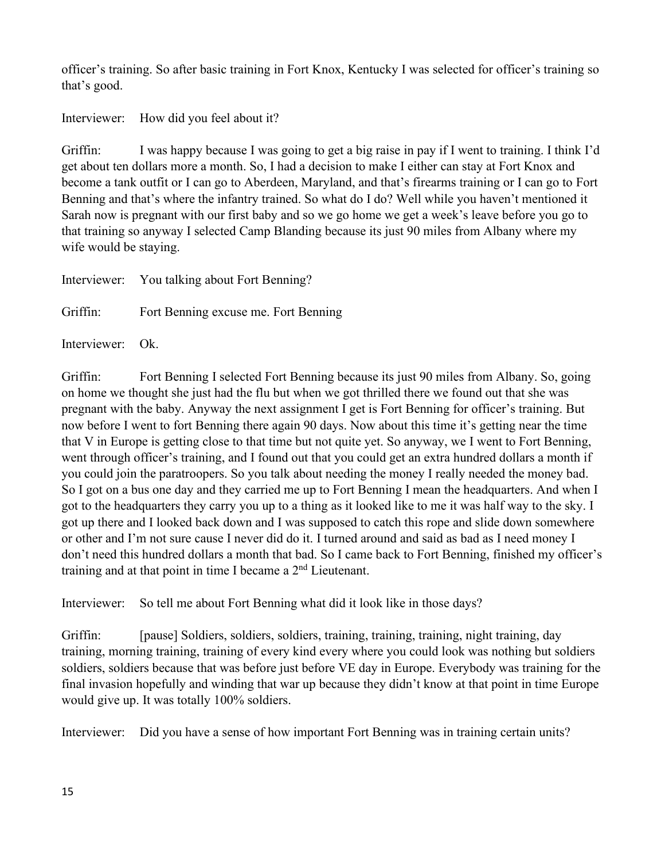officer's training. So after basic training in Fort Knox, Kentucky I was selected for officer's training so that's good.

Interviewer: How did you feel about it?

Griffin: I was happy because I was going to get a big raise in pay if I went to training. I think I'd get about ten dollars more a month. So, I had a decision to make I either can stay at Fort Knox and become a tank outfit or I can go to Aberdeen, Maryland, and that's firearms training or I can go to Fort Benning and that's where the infantry trained. So what do I do? Well while you haven't mentioned it Sarah now is pregnant with our first baby and so we go home we get a week's leave before you go to that training so anyway I selected Camp Blanding because its just 90 miles from Albany where my wife would be staying.

|                  | Interviewer: You talking about Fort Benning?  |
|------------------|-----------------------------------------------|
|                  | Griffin: Fort Benning excuse me. Fort Benning |
| Interviewer: Ok. |                                               |

Griffin: Fort Benning I selected Fort Benning because its just 90 miles from Albany. So, going on home we thought she just had the flu but when we got thrilled there we found out that she was pregnant with the baby. Anyway the next assignment I get is Fort Benning for officer's training. But now before I went to fort Benning there again 90 days. Now about this time it's getting near the time that V in Europe is getting close to that time but not quite yet. So anyway, we I went to Fort Benning, went through officer's training, and I found out that you could get an extra hundred dollars a month if you could join the paratroopers. So you talk about needing the money I really needed the money bad. So I got on a bus one day and they carried me up to Fort Benning I mean the headquarters. And when I got to the headquarters they carry you up to a thing as it looked like to me it was half way to the sky. I got up there and I looked back down and I was supposed to catch this rope and slide down somewhere or other and I'm not sure cause I never did do it. I turned around and said as bad as I need money I don't need this hundred dollars a month that bad. So I came back to Fort Benning, finished my officer's training and at that point in time I became a 2nd Lieutenant.

Interviewer: So tell me about Fort Benning what did it look like in those days?

Griffin: [pause] Soldiers, soldiers, soldiers, training, training, training, night training, day training, morning training, training of every kind every where you could look was nothing but soldiers soldiers, soldiers because that was before just before VE day in Europe. Everybody was training for the final invasion hopefully and winding that war up because they didn't know at that point in time Europe would give up. It was totally 100% soldiers.

Interviewer: Did you have a sense of how important Fort Benning was in training certain units?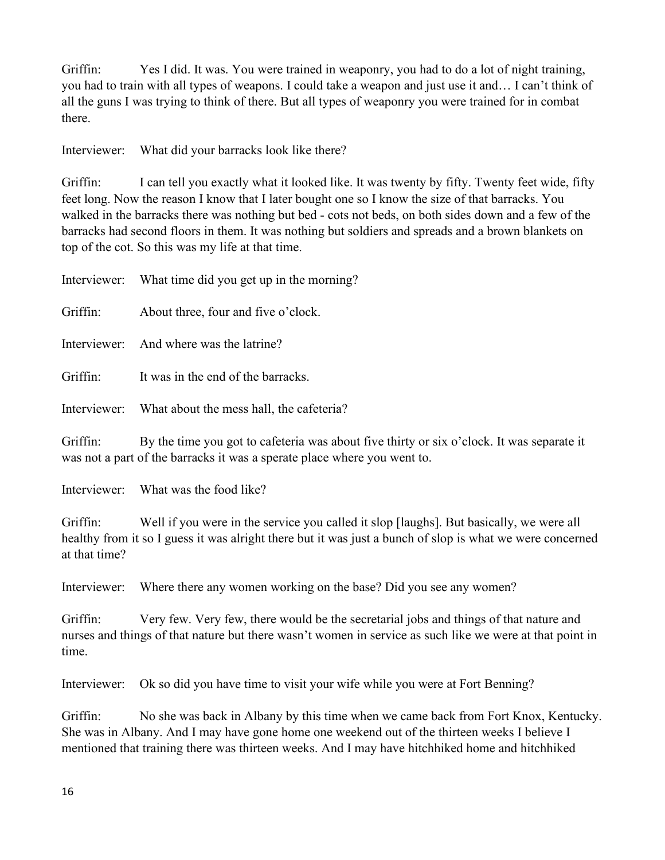Griffin: Yes I did. It was. You were trained in weaponry, you had to do a lot of night training, you had to train with all types of weapons. I could take a weapon and just use it and… I can't think of all the guns I was trying to think of there. But all types of weaponry you were trained for in combat there.

Interviewer: What did your barracks look like there?

Griffin: I can tell you exactly what it looked like. It was twenty by fifty. Twenty feet wide, fifty feet long. Now the reason I know that I later bought one so I know the size of that barracks. You walked in the barracks there was nothing but bed - cots not beds, on both sides down and a few of the barracks had second floors in them. It was nothing but soldiers and spreads and a brown blankets on top of the cot. So this was my life at that time.

|          | Interviewer: What time did you get up in the morning?                                                                                                                                                                                                                                                                                                                                      |
|----------|--------------------------------------------------------------------------------------------------------------------------------------------------------------------------------------------------------------------------------------------------------------------------------------------------------------------------------------------------------------------------------------------|
| Griffin: | About three, four and five o'clock.                                                                                                                                                                                                                                                                                                                                                        |
|          | Interviewer: And where was the latrine?                                                                                                                                                                                                                                                                                                                                                    |
| Griffin: | It was in the end of the barracks.                                                                                                                                                                                                                                                                                                                                                         |
|          | Interviewer: What about the mess hall, the cafeteria?                                                                                                                                                                                                                                                                                                                                      |
| Griffin: | By the time you got to cafeteria was about five thirty or six o'clock. It was separate it<br>$\frac{1}{2}$ and $\frac{1}{2}$ and $\frac{1}{2}$ and $\frac{1}{2}$ and $\frac{1}{2}$ and $\frac{1}{2}$ and $\frac{1}{2}$ and $\frac{1}{2}$ and $\frac{1}{2}$ and $\frac{1}{2}$ and $\frac{1}{2}$ and $\frac{1}{2}$ and $\frac{1}{2}$ and $\frac{1}{2}$ and $\frac{1}{2}$ and $\frac{1}{2}$ a |

was not a part of the barracks it was a sperate place where you went to.

Interviewer: What was the food like?

Griffin: Well if you were in the service you called it slop [laughs]. But basically, we were all healthy from it so I guess it was alright there but it was just a bunch of slop is what we were concerned at that time?

Interviewer: Where there any women working on the base? Did you see any women?

Griffin: Very few. Very few, there would be the secretarial jobs and things of that nature and nurses and things of that nature but there wasn't women in service as such like we were at that point in time.

Interviewer: Ok so did you have time to visit your wife while you were at Fort Benning?

Griffin: No she was back in Albany by this time when we came back from Fort Knox, Kentucky. She was in Albany. And I may have gone home one weekend out of the thirteen weeks I believe I mentioned that training there was thirteen weeks. And I may have hitchhiked home and hitchhiked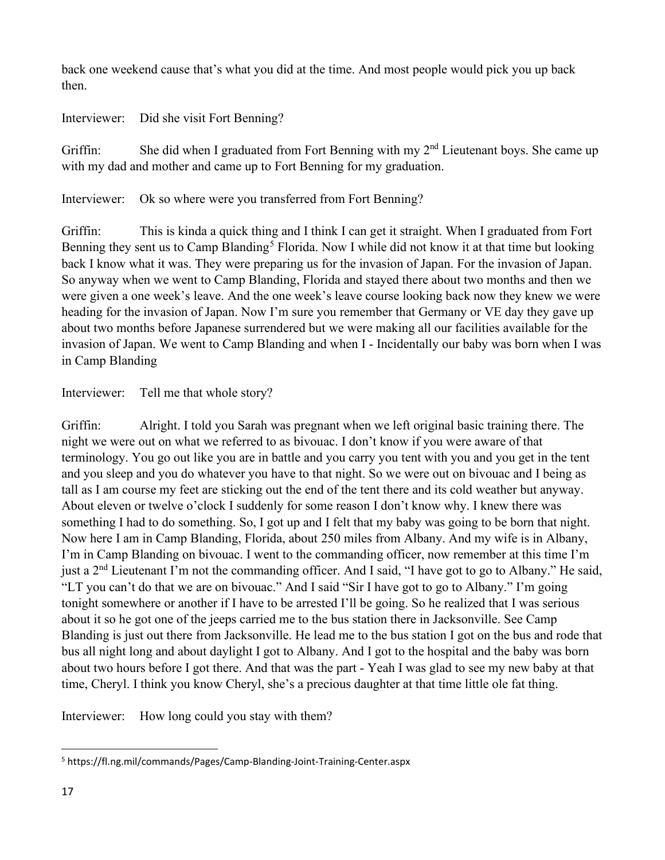back one weekend cause that's what you did at the time. And most people would pick you up back then.

Interviewer: Did she visit Fort Benning?

Griffin: She did when I graduated from Fort Benning with my  $2<sup>nd</sup>$  Lieutenant boys. She came up with my dad and mother and came up to Fort Benning for my graduation.

Interviewer: Ok so where were you transferred from Fort Benning?

Griffin: This is kinda a quick thing and I think I can get it straight. When I graduated from Fort Benning they sent us to Camp Blanding<sup>[5](#page-16-0)</sup> Florida. Now I while did not know it at that time but looking back I know what it was. They were preparing us for the invasion of Japan. For the invasion of Japan. So anyway when we went to Camp Blanding, Florida and stayed there about two months and then we were given a one week's leave. And the one week's leave course looking back now they knew we were heading for the invasion of Japan. Now I'm sure you remember that Germany or VE day they gave up about two months before Japanese surrendered but we were making all our facilities available for the invasion of Japan. We went to Camp Blanding and when I - Incidentally our baby was born when I was in Camp Blanding

Interviewer: Tell me that whole story?

Griffin: Alright. I told you Sarah was pregnant when we left original basic training there. The night we were out on what we referred to as bivouac. I don't know if you were aware of that terminology. You go out like you are in battle and you carry you tent with you and you get in the tent and you sleep and you do whatever you have to that night. So we were out on bivouac and I being as tall as I am course my feet are sticking out the end of the tent there and its cold weather but anyway. About eleven or twelve o'clock I suddenly for some reason I don't know why. I knew there was something I had to do something. So, I got up and I felt that my baby was going to be born that night. Now here I am in Camp Blanding, Florida, about 250 miles from Albany. And my wife is in Albany, I'm in Camp Blanding on bivouac. I went to the commanding officer, now remember at this time I'm just a 2nd Lieutenant I'm not the commanding officer. And I said, "I have got to go to Albany." He said, "LT you can't do that we are on bivouac." And I said "Sir I have got to go to Albany." I'm going tonight somewhere or another if I have to be arrested I'll be going. So he realized that I was serious about it so he got one of the jeeps carried me to the bus station there in Jacksonville. See Camp Blanding is just out there from Jacksonville. He lead me to the bus station I got on the bus and rode that bus all night long and about daylight I got to Albany. And I got to the hospital and the baby was born about two hours before I got there. And that was the part - Yeah I was glad to see my new baby at that time, Cheryl. I think you know Cheryl, she's a precious daughter at that time little ole fat thing.

Interviewer: How long could you stay with them?

<span id="page-16-0"></span><sup>5</sup> https://fl.ng.mil/commands/Pages/Camp-Blanding-Joint-Training-Center.aspx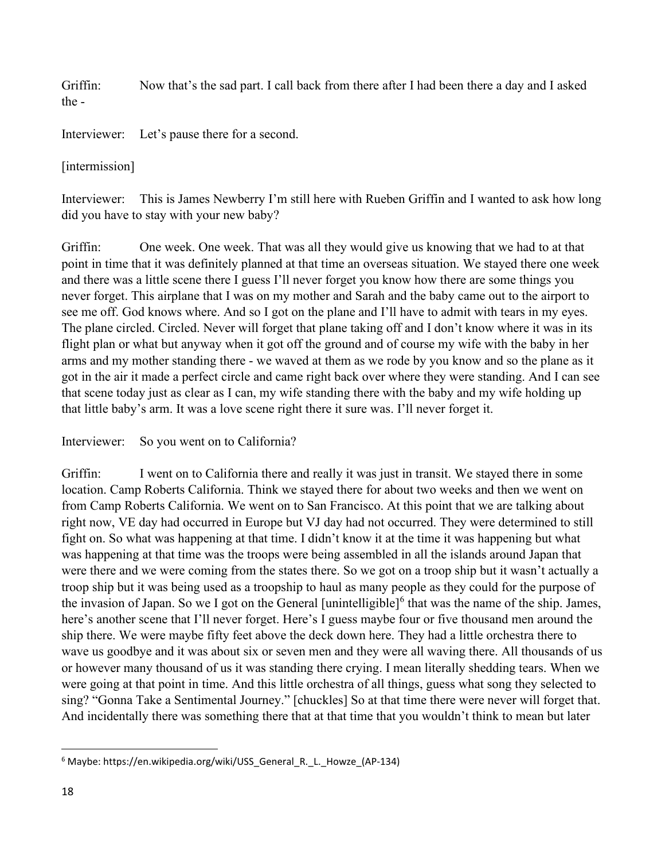Griffin: Now that's the sad part. I call back from there after I had been there a day and I asked the -

Interviewer: Let's pause there for a second.

## [intermission]

Interviewer: This is James Newberry I'm still here with Rueben Griffin and I wanted to ask how long did you have to stay with your new baby?

Griffin: One week. One week. That was all they would give us knowing that we had to at that point in time that it was definitely planned at that time an overseas situation. We stayed there one week and there was a little scene there I guess I'll never forget you know how there are some things you never forget. This airplane that I was on my mother and Sarah and the baby came out to the airport to see me off. God knows where. And so I got on the plane and I'll have to admit with tears in my eyes. The plane circled. Circled. Never will forget that plane taking off and I don't know where it was in its flight plan or what but anyway when it got off the ground and of course my wife with the baby in her arms and my mother standing there - we waved at them as we rode by you know and so the plane as it got in the air it made a perfect circle and came right back over where they were standing. And I can see that scene today just as clear as I can, my wife standing there with the baby and my wife holding up that little baby's arm. It was a love scene right there it sure was. I'll never forget it.

# Interviewer: So you went on to California?

Griffin: I went on to California there and really it was just in transit. We stayed there in some location. Camp Roberts California. Think we stayed there for about two weeks and then we went on from Camp Roberts California. We went on to San Francisco. At this point that we are talking about right now, VE day had occurred in Europe but VJ day had not occurred. They were determined to still fight on. So what was happening at that time. I didn't know it at the time it was happening but what was happening at that time was the troops were being assembled in all the islands around Japan that were there and we were coming from the states there. So we got on a troop ship but it wasn't actually a troop ship but it was being used as a troopship to haul as many people as they could for the purpose of the invasion of Japan. So we I got on the General [unintelligible] $<sup>6</sup>$  $<sup>6</sup>$  $<sup>6</sup>$  that was the name of the ship. James,</sup> here's another scene that I'll never forget. Here's I guess maybe four or five thousand men around the ship there. We were maybe fifty feet above the deck down here. They had a little orchestra there to wave us goodbye and it was about six or seven men and they were all waving there. All thousands of us or however many thousand of us it was standing there crying. I mean literally shedding tears. When we were going at that point in time. And this little orchestra of all things, guess what song they selected to sing? "Gonna Take a Sentimental Journey." [chuckles] So at that time there were never will forget that. And incidentally there was something there that at that time that you wouldn't think to mean but later

<span id="page-17-0"></span><sup>&</sup>lt;sup>6</sup> Maybe: https://en.wikipedia.org/wiki/USS\_General\_R.\_L.\_Howze\_(AP-134)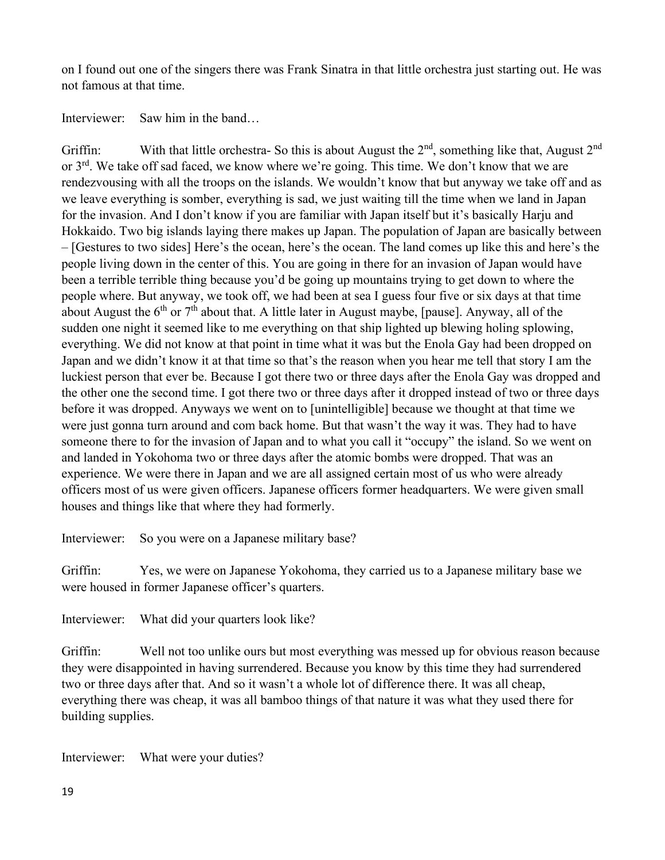on I found out one of the singers there was Frank Sinatra in that little orchestra just starting out. He was not famous at that time.

Interviewer: Saw him in the band...

Griffin: With that little orchestra- So this is about August the  $2<sup>nd</sup>$ , something like that, August  $2<sup>nd</sup>$ or 3<sup>rd</sup>. We take off sad faced, we know where we're going. This time. We don't know that we are rendezvousing with all the troops on the islands. We wouldn't know that but anyway we take off and as we leave everything is somber, everything is sad, we just waiting till the time when we land in Japan for the invasion. And I don't know if you are familiar with Japan itself but it's basically Harju and Hokkaido. Two big islands laying there makes up Japan. The population of Japan are basically between – [Gestures to two sides] Here's the ocean, here's the ocean. The land comes up like this and here's the people living down in the center of this. You are going in there for an invasion of Japan would have been a terrible terrible thing because you'd be going up mountains trying to get down to where the people where. But anyway, we took off, we had been at sea I guess four five or six days at that time about August the  $6<sup>th</sup>$  or  $7<sup>th</sup>$  about that. A little later in August maybe, [pause]. Anyway, all of the sudden one night it seemed like to me everything on that ship lighted up blewing holing splowing, everything. We did not know at that point in time what it was but the Enola Gay had been dropped on Japan and we didn't know it at that time so that's the reason when you hear me tell that story I am the luckiest person that ever be. Because I got there two or three days after the Enola Gay was dropped and the other one the second time. I got there two or three days after it dropped instead of two or three days before it was dropped. Anyways we went on to [unintelligible] because we thought at that time we were just gonna turn around and com back home. But that wasn't the way it was. They had to have someone there to for the invasion of Japan and to what you call it "occupy" the island. So we went on and landed in Yokohoma two or three days after the atomic bombs were dropped. That was an experience. We were there in Japan and we are all assigned certain most of us who were already officers most of us were given officers. Japanese officers former headquarters. We were given small houses and things like that where they had formerly.

Interviewer: So you were on a Japanese military base?

Griffin: Yes, we were on Japanese Yokohoma, they carried us to a Japanese military base we were housed in former Japanese officer's quarters.

Interviewer: What did your quarters look like?

Griffin: Well not too unlike ours but most everything was messed up for obvious reason because they were disappointed in having surrendered. Because you know by this time they had surrendered two or three days after that. And so it wasn't a whole lot of difference there. It was all cheap, everything there was cheap, it was all bamboo things of that nature it was what they used there for building supplies.

Interviewer: What were your duties?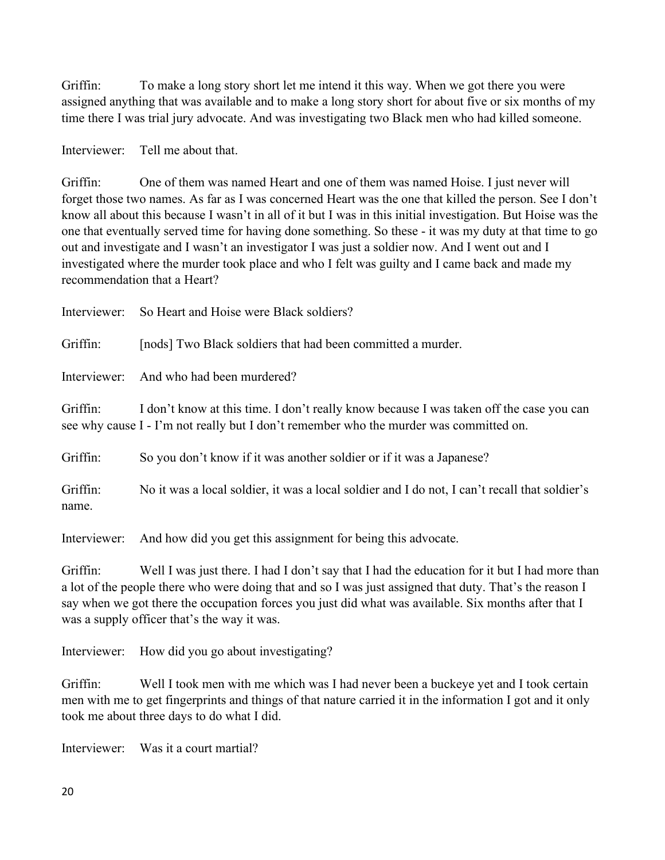Griffin: To make a long story short let me intend it this way. When we got there you were assigned anything that was available and to make a long story short for about five or six months of my time there I was trial jury advocate. And was investigating two Black men who had killed someone.

Interviewer: Tell me about that.

Griffin: One of them was named Heart and one of them was named Hoise. I just never will forget those two names. As far as I was concerned Heart was the one that killed the person. See I don't know all about this because I wasn't in all of it but I was in this initial investigation. But Hoise was the one that eventually served time for having done something. So these - it was my duty at that time to go out and investigate and I wasn't an investigator I was just a soldier now. And I went out and I investigated where the murder took place and who I felt was guilty and I came back and made my recommendation that a Heart?

| Interviewer:      | So Heart and Hoise were Black soldiers?                                                                                                                                           |
|-------------------|-----------------------------------------------------------------------------------------------------------------------------------------------------------------------------------|
| Griffin:          | [nods] Two Black soldiers that had been committed a murder.                                                                                                                       |
|                   | Interviewer: And who had been murdered?                                                                                                                                           |
| Griffin:          | I don't know at this time. I don't really know because I was taken off the case you can<br>see why cause I - I'm not really but I don't remember who the murder was committed on. |
| Griffin:          | So you don't know if it was another soldier or if it was a Japanese?                                                                                                              |
| Griffin:<br>name. | No it was a local soldier, it was a local soldier and I do not, I can't recall that soldier's                                                                                     |

Interviewer: And how did you get this assignment for being this advocate.

Griffin: Well I was just there. I had I don't say that I had the education for it but I had more than a lot of the people there who were doing that and so I was just assigned that duty. That's the reason I say when we got there the occupation forces you just did what was available. Six months after that I was a supply officer that's the way it was.

Interviewer: How did you go about investigating?

Griffin: Well I took men with me which was I had never been a buckeye yet and I took certain men with me to get fingerprints and things of that nature carried it in the information I got and it only took me about three days to do what I did.

Interviewer: Was it a court martial?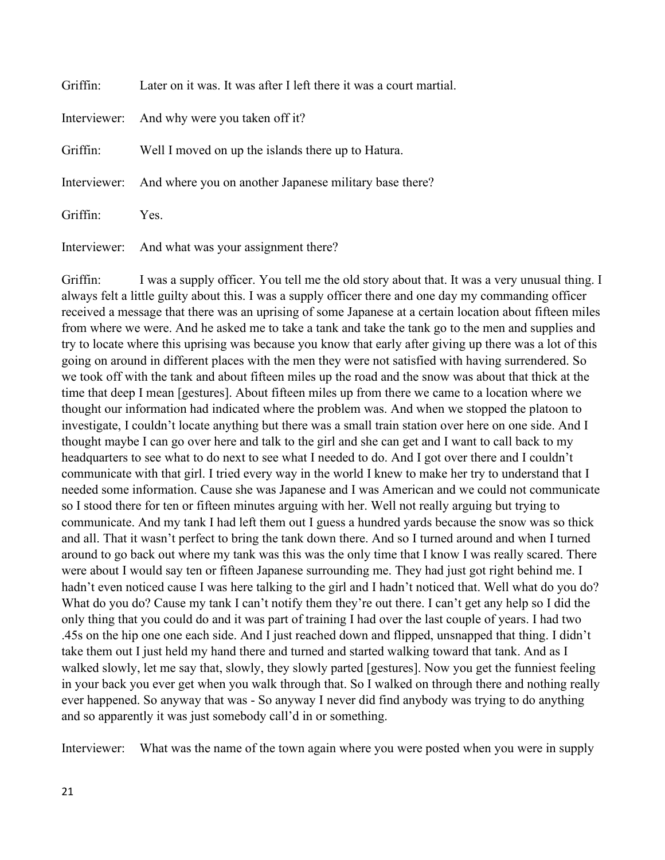| Griffin: | Later on it was. It was after I left there it was a court martial.  |
|----------|---------------------------------------------------------------------|
|          | Interviewer: And why were you taken off it?                         |
| Griffin: | Well I moved on up the islands there up to Hatura.                  |
|          | Interviewer: And where you on another Japanese military base there? |
| Griffin: | Yes.                                                                |
|          | Interviewer: And what was your assignment there?                    |

Griffin: I was a supply officer. You tell me the old story about that. It was a very unusual thing. I always felt a little guilty about this. I was a supply officer there and one day my commanding officer received a message that there was an uprising of some Japanese at a certain location about fifteen miles from where we were. And he asked me to take a tank and take the tank go to the men and supplies and try to locate where this uprising was because you know that early after giving up there was a lot of this going on around in different places with the men they were not satisfied with having surrendered. So we took off with the tank and about fifteen miles up the road and the snow was about that thick at the time that deep I mean [gestures]. About fifteen miles up from there we came to a location where we thought our information had indicated where the problem was. And when we stopped the platoon to investigate, I couldn't locate anything but there was a small train station over here on one side. And I thought maybe I can go over here and talk to the girl and she can get and I want to call back to my headquarters to see what to do next to see what I needed to do. And I got over there and I couldn't communicate with that girl. I tried every way in the world I knew to make her try to understand that I needed some information. Cause she was Japanese and I was American and we could not communicate so I stood there for ten or fifteen minutes arguing with her. Well not really arguing but trying to communicate. And my tank I had left them out I guess a hundred yards because the snow was so thick and all. That it wasn't perfect to bring the tank down there. And so I turned around and when I turned around to go back out where my tank was this was the only time that I know I was really scared. There were about I would say ten or fifteen Japanese surrounding me. They had just got right behind me. I hadn't even noticed cause I was here talking to the girl and I hadn't noticed that. Well what do you do? What do you do? Cause my tank I can't notify them they're out there. I can't get any help so I did the only thing that you could do and it was part of training I had over the last couple of years. I had two .45s on the hip one one each side. And I just reached down and flipped, unsnapped that thing. I didn't take them out I just held my hand there and turned and started walking toward that tank. And as I walked slowly, let me say that, slowly, they slowly parted [gestures]. Now you get the funniest feeling in your back you ever get when you walk through that. So I walked on through there and nothing really ever happened. So anyway that was - So anyway I never did find anybody was trying to do anything and so apparently it was just somebody call'd in or something.

Interviewer: What was the name of the town again where you were posted when you were in supply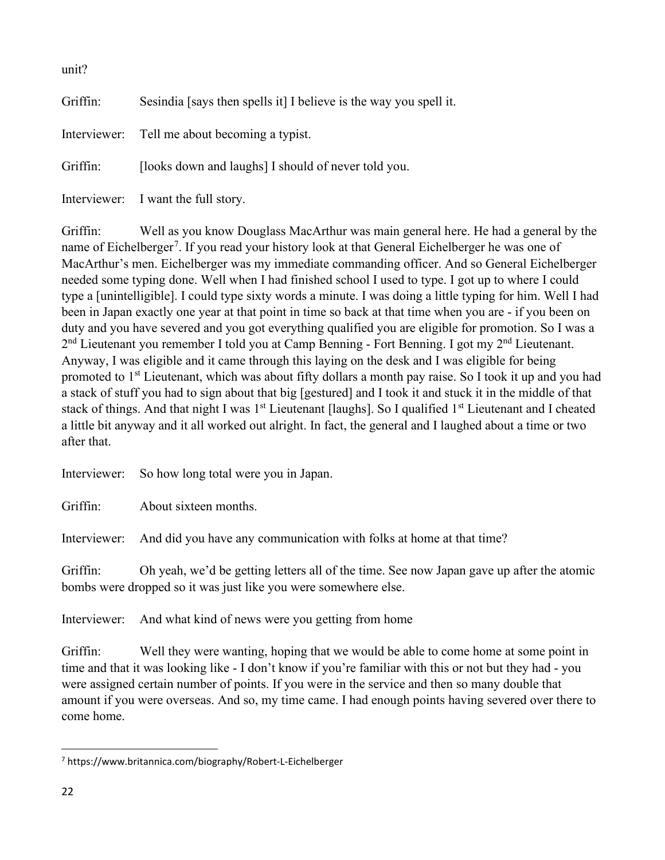| unit?    |                                                                   |
|----------|-------------------------------------------------------------------|
| Griffin: | Sesindia [says then spells it] I believe is the way you spell it. |
|          | Interviewer: Tell me about becoming a typist.                     |
| Griffin: | [looks down and laughs] I should of never told you.               |
|          | Interviewer: I want the full story.                               |

Griffin: Well as you know Douglass MacArthur was main general here. He had a general by the name of Eichelberger<sup>[7](#page-21-0)</sup>. If you read your history look at that General Eichelberger he was one of MacArthur's men. Eichelberger was my immediate commanding officer. And so General Eichelberger needed some typing done. Well when I had finished school I used to type. I got up to where I could type a [unintelligible]. I could type sixty words a minute. I was doing a little typing for him. Well I had been in Japan exactly one year at that point in time so back at that time when you are - if you been on duty and you have severed and you got everything qualified you are eligible for promotion. So I was a  $2<sup>nd</sup>$  Lieutenant you remember I told you at Camp Benning - Fort Benning. I got my  $2<sup>nd</sup>$  Lieutenant. Anyway, I was eligible and it came through this laying on the desk and I was eligible for being promoted to 1<sup>st</sup> Lieutenant, which was about fifty dollars a month pay raise. So I took it up and you had a stack of stuff you had to sign about that big [gestured] and I took it and stuck it in the middle of that stack of things. And that night I was 1<sup>st</sup> Lieutenant [laughs]. So I qualified 1<sup>st</sup> Lieutenant and I cheated a little bit anyway and it all worked out alright. In fact, the general and I laughed about a time or two after that.

Interviewer: So how long total were you in Japan.

Griffin: About sixteen months.

Interviewer: And did you have any communication with folks at home at that time?

Griffin: Oh yeah, we'd be getting letters all of the time. See now Japan gave up after the atomic bombs were dropped so it was just like you were somewhere else.

Interviewer: And what kind of news were you getting from home

Griffin: Well they were wanting, hoping that we would be able to come home at some point in time and that it was looking like - I don't know if you're familiar with this or not but they had - you were assigned certain number of points. If you were in the service and then so many double that amount if you were overseas. And so, my time came. I had enough points having severed over there to come home.

<span id="page-21-0"></span><sup>7</sup> https://www.britannica.com/biography/Robert-L-Eichelberger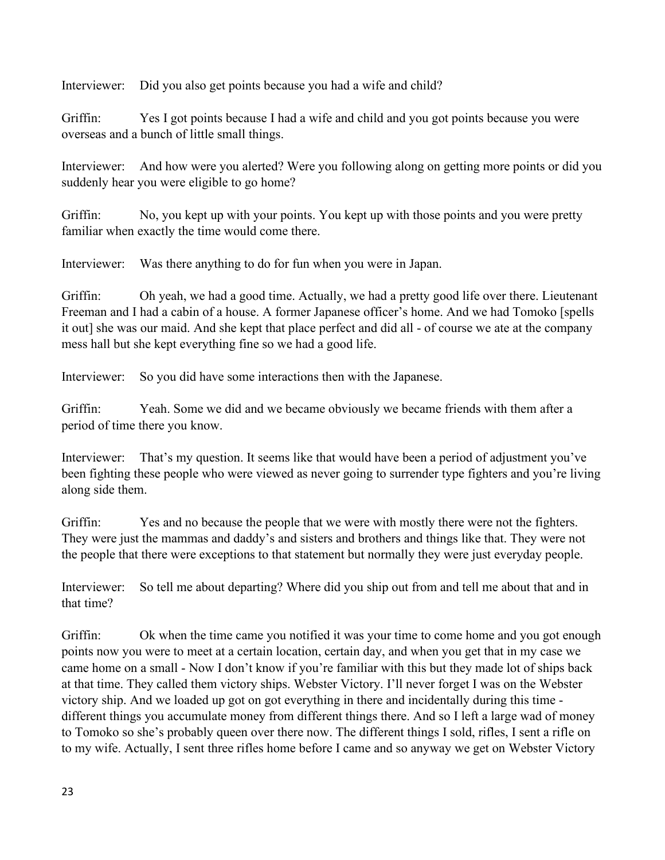Interviewer: Did you also get points because you had a wife and child?

Griffin: Yes I got points because I had a wife and child and you got points because you were overseas and a bunch of little small things.

Interviewer: And how were you alerted? Were you following along on getting more points or did you suddenly hear you were eligible to go home?

Griffin: No, you kept up with your points. You kept up with those points and you were pretty familiar when exactly the time would come there.

Interviewer: Was there anything to do for fun when you were in Japan.

Griffin: Oh yeah, we had a good time. Actually, we had a pretty good life over there. Lieutenant Freeman and I had a cabin of a house. A former Japanese officer's home. And we had Tomoko [spells it out] she was our maid. And she kept that place perfect and did all - of course we ate at the company mess hall but she kept everything fine so we had a good life.

Interviewer: So you did have some interactions then with the Japanese.

Griffin: Yeah. Some we did and we became obviously we became friends with them after a period of time there you know.

Interviewer: That's my question. It seems like that would have been a period of adjustment you've been fighting these people who were viewed as never going to surrender type fighters and you're living along side them.

Griffin: Yes and no because the people that we were with mostly there were not the fighters. They were just the mammas and daddy's and sisters and brothers and things like that. They were not the people that there were exceptions to that statement but normally they were just everyday people.

Interviewer: So tell me about departing? Where did you ship out from and tell me about that and in that time?

Griffin: Ok when the time came you notified it was your time to come home and you got enough points now you were to meet at a certain location, certain day, and when you get that in my case we came home on a small - Now I don't know if you're familiar with this but they made lot of ships back at that time. They called them victory ships. Webster Victory. I'll never forget I was on the Webster victory ship. And we loaded up got on got everything in there and incidentally during this time different things you accumulate money from different things there. And so I left a large wad of money to Tomoko so she's probably queen over there now. The different things I sold, rifles, I sent a rifle on to my wife. Actually, I sent three rifles home before I came and so anyway we get on Webster Victory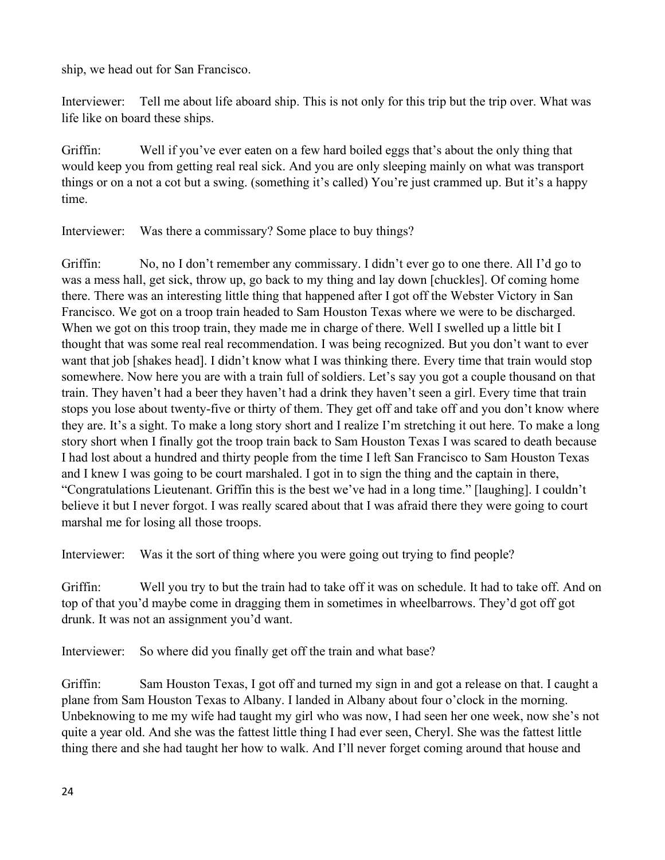ship, we head out for San Francisco.

Interviewer: Tell me about life aboard ship. This is not only for this trip but the trip over. What was life like on board these ships.

Griffin: Well if you've ever eaten on a few hard boiled eggs that's about the only thing that would keep you from getting real real sick. And you are only sleeping mainly on what was transport things or on a not a cot but a swing. (something it's called) You're just crammed up. But it's a happy time.

Interviewer: Was there a commissary? Some place to buy things?

Griffin: No, no I don't remember any commissary. I didn't ever go to one there. All I'd go to was a mess hall, get sick, throw up, go back to my thing and lay down [chuckles]. Of coming home there. There was an interesting little thing that happened after I got off the Webster Victory in San Francisco. We got on a troop train headed to Sam Houston Texas where we were to be discharged. When we got on this troop train, they made me in charge of there. Well I swelled up a little bit I thought that was some real real recommendation. I was being recognized. But you don't want to ever want that job [shakes head]. I didn't know what I was thinking there. Every time that train would stop somewhere. Now here you are with a train full of soldiers. Let's say you got a couple thousand on that train. They haven't had a beer they haven't had a drink they haven't seen a girl. Every time that train stops you lose about twenty-five or thirty of them. They get off and take off and you don't know where they are. It's a sight. To make a long story short and I realize I'm stretching it out here. To make a long story short when I finally got the troop train back to Sam Houston Texas I was scared to death because I had lost about a hundred and thirty people from the time I left San Francisco to Sam Houston Texas and I knew I was going to be court marshaled. I got in to sign the thing and the captain in there, "Congratulations Lieutenant. Griffin this is the best we've had in a long time." [laughing]. I couldn't believe it but I never forgot. I was really scared about that I was afraid there they were going to court marshal me for losing all those troops.

Interviewer: Was it the sort of thing where you were going out trying to find people?

Griffin: Well you try to but the train had to take off it was on schedule. It had to take off. And on top of that you'd maybe come in dragging them in sometimes in wheelbarrows. They'd got off got drunk. It was not an assignment you'd want.

Interviewer: So where did you finally get off the train and what base?

Griffin: Sam Houston Texas, I got off and turned my sign in and got a release on that. I caught a plane from Sam Houston Texas to Albany. I landed in Albany about four o'clock in the morning. Unbeknowing to me my wife had taught my girl who was now, I had seen her one week, now she's not quite a year old. And she was the fattest little thing I had ever seen, Cheryl. She was the fattest little thing there and she had taught her how to walk. And I'll never forget coming around that house and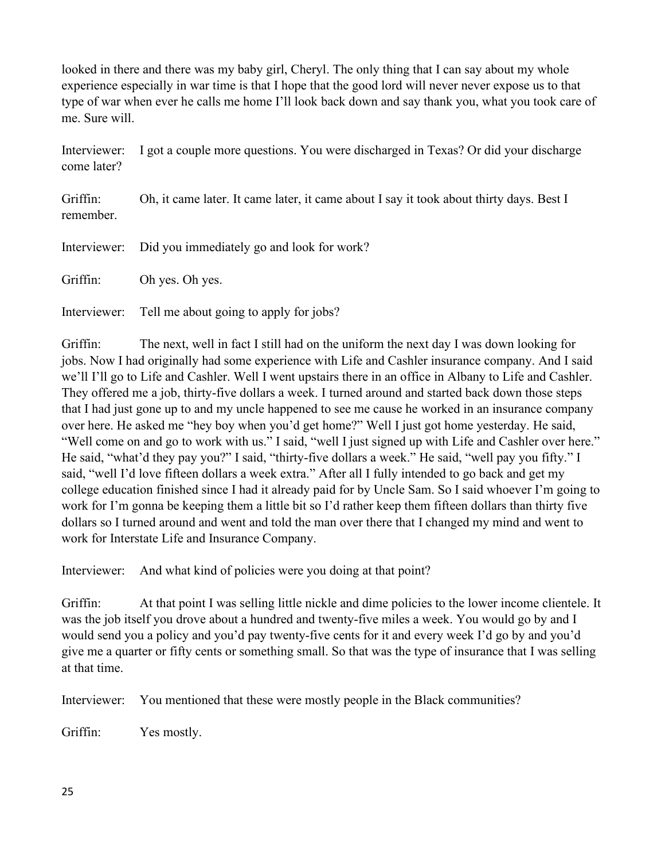looked in there and there was my baby girl, Cheryl. The only thing that I can say about my whole experience especially in war time is that I hope that the good lord will never never expose us to that type of war when ever he calls me home I'll look back down and say thank you, what you took care of me. Sure will.

Interviewer: I got a couple more questions. You were discharged in Texas? Or did your discharge come later?

Griffin: Oh, it came later. It came later, it came about I say it took about thirty days. Best I remember.

Interviewer: Did you immediately go and look for work?

Griffin: Oh yes. Oh yes.

Interviewer: Tell me about going to apply for jobs?

Griffin: The next, well in fact I still had on the uniform the next day I was down looking for jobs. Now I had originally had some experience with Life and Cashler insurance company. And I said we'll I'll go to Life and Cashler. Well I went upstairs there in an office in Albany to Life and Cashler. They offered me a job, thirty-five dollars a week. I turned around and started back down those steps that I had just gone up to and my uncle happened to see me cause he worked in an insurance company over here. He asked me "hey boy when you'd get home?" Well I just got home yesterday. He said, "Well come on and go to work with us." I said, "well I just signed up with Life and Cashler over here." He said, "what'd they pay you?" I said, "thirty-five dollars a week." He said, "well pay you fifty." I said, "well I'd love fifteen dollars a week extra." After all I fully intended to go back and get my college education finished since I had it already paid for by Uncle Sam. So I said whoever I'm going to work for I'm gonna be keeping them a little bit so I'd rather keep them fifteen dollars than thirty five dollars so I turned around and went and told the man over there that I changed my mind and went to work for Interstate Life and Insurance Company.

Interviewer: And what kind of policies were you doing at that point?

Griffin: At that point I was selling little nickle and dime policies to the lower income clientele. It was the job itself you drove about a hundred and twenty-five miles a week. You would go by and I would send you a policy and you'd pay twenty-five cents for it and every week I'd go by and you'd give me a quarter or fifty cents or something small. So that was the type of insurance that I was selling at that time.

Interviewer: You mentioned that these were mostly people in the Black communities?

Griffin: Yes mostly.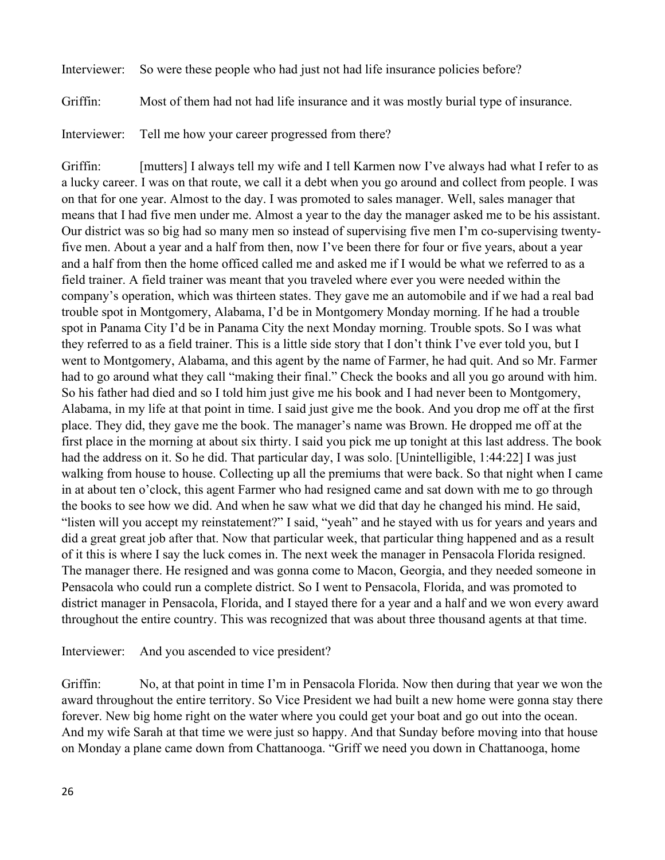Interviewer: So were these people who had just not had life insurance policies before?

Griffin: Most of them had not had life insurance and it was mostly burial type of insurance.

Interviewer: Tell me how your career progressed from there?

Griffin: [mutters] I always tell my wife and I tell Karmen now I've always had what I refer to as a lucky career. I was on that route, we call it a debt when you go around and collect from people. I was on that for one year. Almost to the day. I was promoted to sales manager. Well, sales manager that means that I had five men under me. Almost a year to the day the manager asked me to be his assistant. Our district was so big had so many men so instead of supervising five men I'm co-supervising twentyfive men. About a year and a half from then, now I've been there for four or five years, about a year and a half from then the home officed called me and asked me if I would be what we referred to as a field trainer. A field trainer was meant that you traveled where ever you were needed within the company's operation, which was thirteen states. They gave me an automobile and if we had a real bad trouble spot in Montgomery, Alabama, I'd be in Montgomery Monday morning. If he had a trouble spot in Panama City I'd be in Panama City the next Monday morning. Trouble spots. So I was what they referred to as a field trainer. This is a little side story that I don't think I've ever told you, but I went to Montgomery, Alabama, and this agent by the name of Farmer, he had quit. And so Mr. Farmer had to go around what they call "making their final." Check the books and all you go around with him. So his father had died and so I told him just give me his book and I had never been to Montgomery, Alabama, in my life at that point in time. I said just give me the book. And you drop me off at the first place. They did, they gave me the book. The manager's name was Brown. He dropped me off at the first place in the morning at about six thirty. I said you pick me up tonight at this last address. The book had the address on it. So he did. That particular day, I was solo. [Unintelligible, 1:44:22] I was just walking from house to house. Collecting up all the premiums that were back. So that night when I came in at about ten o'clock, this agent Farmer who had resigned came and sat down with me to go through the books to see how we did. And when he saw what we did that day he changed his mind. He said, "listen will you accept my reinstatement?" I said, "yeah" and he stayed with us for years and years and did a great great job after that. Now that particular week, that particular thing happened and as a result of it this is where I say the luck comes in. The next week the manager in Pensacola Florida resigned. The manager there. He resigned and was gonna come to Macon, Georgia, and they needed someone in Pensacola who could run a complete district. So I went to Pensacola, Florida, and was promoted to district manager in Pensacola, Florida, and I stayed there for a year and a half and we won every award throughout the entire country. This was recognized that was about three thousand agents at that time.

Interviewer: And you ascended to vice president?

Griffin: No, at that point in time I'm in Pensacola Florida. Now then during that year we won the award throughout the entire territory. So Vice President we had built a new home were gonna stay there forever. New big home right on the water where you could get your boat and go out into the ocean. And my wife Sarah at that time we were just so happy. And that Sunday before moving into that house on Monday a plane came down from Chattanooga. "Griff we need you down in Chattanooga, home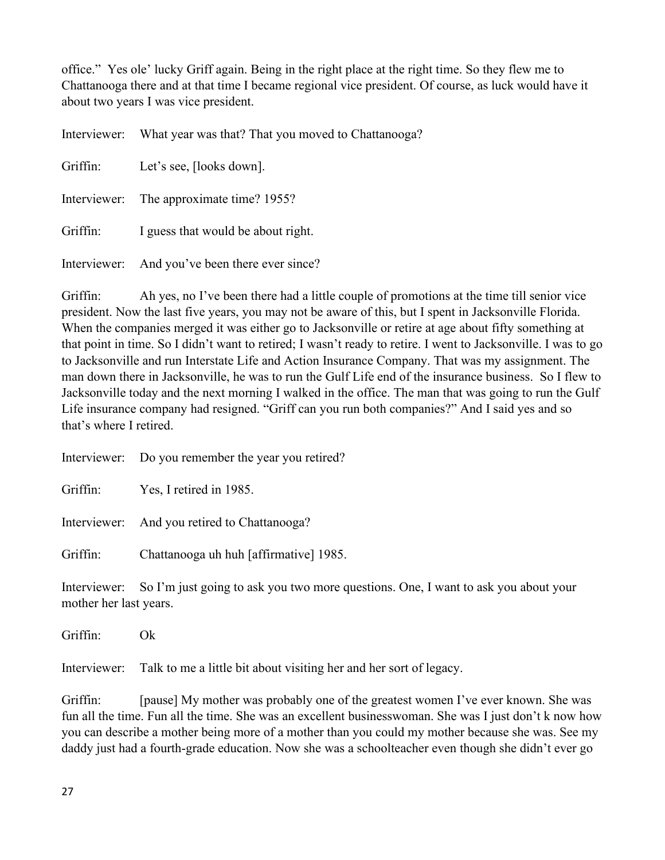office." Yes ole' lucky Griff again. Being in the right place at the right time. So they flew me to Chattanooga there and at that time I became regional vice president. Of course, as luck would have it about two years I was vice president.

|          | Interviewer: What year was that? That you moved to Chattanooga? |
|----------|-----------------------------------------------------------------|
| Griffin: | Let's see, [looks down].                                        |
|          | Interviewer: The approximate time? 1955?                        |
| Griffin: | I guess that would be about right.                              |
|          | Interviewer: And you've been there ever since?                  |

Griffin: Ah yes, no I've been there had a little couple of promotions at the time till senior vice president. Now the last five years, you may not be aware of this, but I spent in Jacksonville Florida. When the companies merged it was either go to Jacksonville or retire at age about fifty something at that point in time. So I didn't want to retired; I wasn't ready to retire. I went to Jacksonville. I was to go to Jacksonville and run Interstate Life and Action Insurance Company. That was my assignment. The man down there in Jacksonville, he was to run the Gulf Life end of the insurance business. So I flew to Jacksonville today and the next morning I walked in the office. The man that was going to run the Gulf Life insurance company had resigned. "Griff can you run both companies?" And I said yes and so that's where I retired.

|                                        | Interviewer: Do you remember the year you retired?                                 |
|----------------------------------------|------------------------------------------------------------------------------------|
| Griffin:                               | Yes, I retired in 1985.                                                            |
|                                        | Interviewer: And you retired to Chattanooga?                                       |
| Griffin:                               | Chattanooga uh huh [affirmative] 1985.                                             |
| Interviewer:<br>mother her last years. | So I'm just going to ask you two more questions. One, I want to ask you about your |

Griffin: Ok

Interviewer: Talk to me a little bit about visiting her and her sort of legacy.

Griffin: [pause] My mother was probably one of the greatest women I've ever known. She was fun all the time. Fun all the time. She was an excellent businesswoman. She was I just don't k now how you can describe a mother being more of a mother than you could my mother because she was. See my daddy just had a fourth-grade education. Now she was a schoolteacher even though she didn't ever go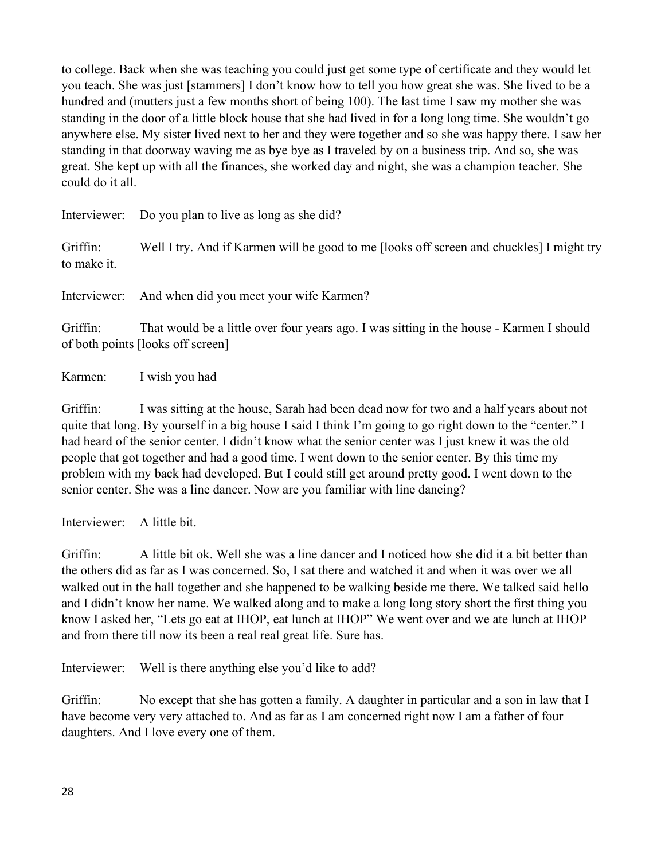to college. Back when she was teaching you could just get some type of certificate and they would let you teach. She was just [stammers] I don't know how to tell you how great she was. She lived to be a hundred and (mutters just a few months short of being 100). The last time I saw my mother she was standing in the door of a little block house that she had lived in for a long long time. She wouldn't go anywhere else. My sister lived next to her and they were together and so she was happy there. I saw her standing in that doorway waving me as bye bye as I traveled by on a business trip. And so, she was great. She kept up with all the finances, she worked day and night, she was a champion teacher. She could do it all.

Interviewer: Do you plan to live as long as she did?

Griffin: Well I try. And if Karmen will be good to me [looks off screen and chuckles] I might try to make it.

Interviewer: And when did you meet your wife Karmen?

Griffin: That would be a little over four years ago. I was sitting in the house - Karmen I should of both points [looks off screen]

Karmen: I wish you had

Griffin: I was sitting at the house, Sarah had been dead now for two and a half years about not quite that long. By yourself in a big house I said I think I'm going to go right down to the "center." I had heard of the senior center. I didn't know what the senior center was I just knew it was the old people that got together and had a good time. I went down to the senior center. By this time my problem with my back had developed. But I could still get around pretty good. I went down to the senior center. She was a line dancer. Now are you familiar with line dancing?

Interviewer: A little bit.

Griffin: A little bit ok. Well she was a line dancer and I noticed how she did it a bit better than the others did as far as I was concerned. So, I sat there and watched it and when it was over we all walked out in the hall together and she happened to be walking beside me there. We talked said hello and I didn't know her name. We walked along and to make a long long story short the first thing you know I asked her, "Lets go eat at IHOP, eat lunch at IHOP" We went over and we ate lunch at IHOP and from there till now its been a real real great life. Sure has.

Interviewer: Well is there anything else you'd like to add?

Griffin: No except that she has gotten a family. A daughter in particular and a son in law that I have become very very attached to. And as far as I am concerned right now I am a father of four daughters. And I love every one of them.